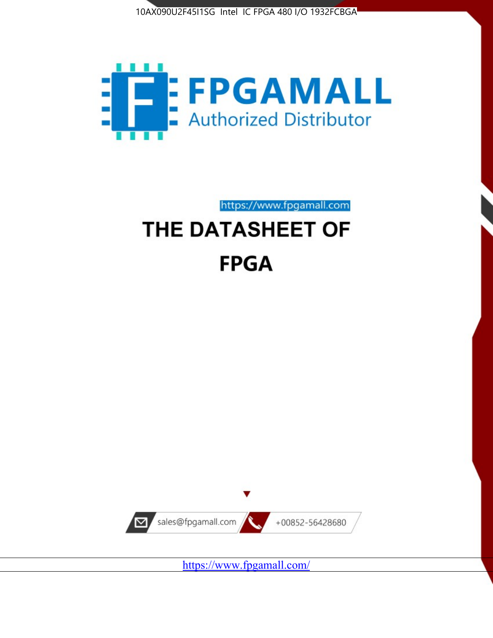



https://www.fpgamall.com

# THE DATASHEET OF **FPGA**



<https://www.fpgamall.com/>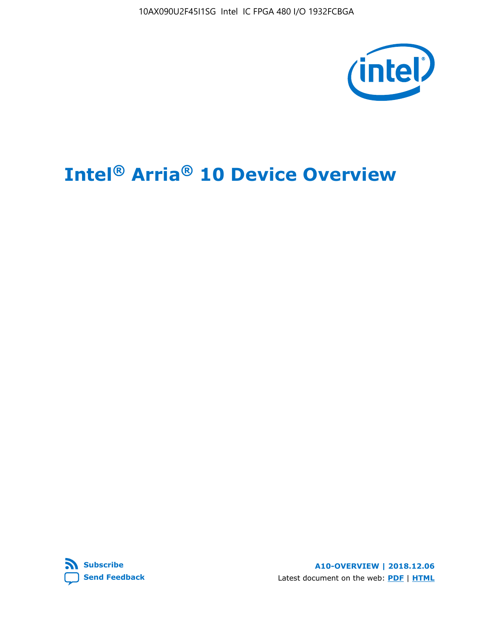10AX090U2F45I1SG Intel IC FPGA 480 I/O 1932FCBGA



# **Intel® Arria® 10 Device Overview**



**A10-OVERVIEW | 2018.12.06** Latest document on the web: **[PDF](https://www.intel.com/content/dam/www/programmable/us/en/pdfs/literature/hb/arria-10/a10_overview.pdf)** | **[HTML](https://www.intel.com/content/www/us/en/programmable/documentation/sam1403480274650.html)**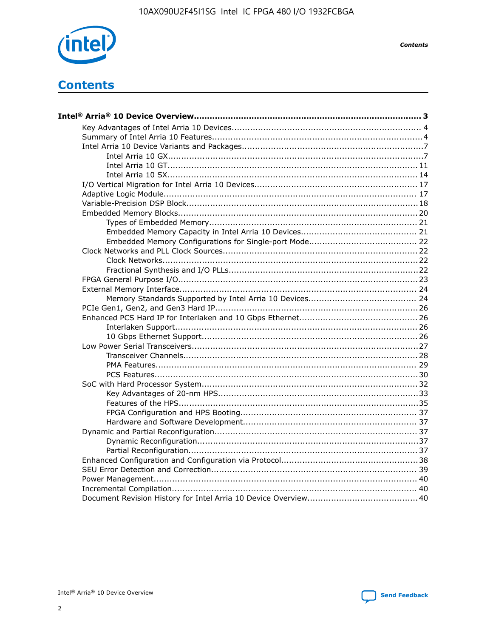

**Contents** 

# **Contents**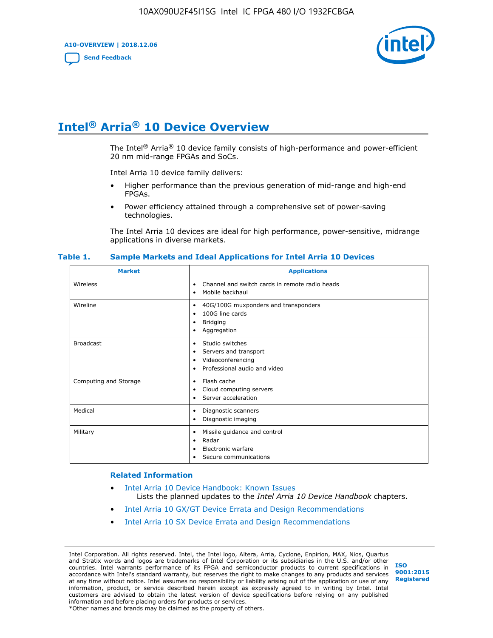**A10-OVERVIEW | 2018.12.06**

**[Send Feedback](mailto:FPGAtechdocfeedback@intel.com?subject=Feedback%20on%20Intel%20Arria%2010%20Device%20Overview%20(A10-OVERVIEW%202018.12.06)&body=We%20appreciate%20your%20feedback.%20In%20your%20comments,%20also%20specify%20the%20page%20number%20or%20paragraph.%20Thank%20you.)**



# **Intel® Arria® 10 Device Overview**

The Intel<sup>®</sup> Arria<sup>®</sup> 10 device family consists of high-performance and power-efficient 20 nm mid-range FPGAs and SoCs.

Intel Arria 10 device family delivers:

- Higher performance than the previous generation of mid-range and high-end FPGAs.
- Power efficiency attained through a comprehensive set of power-saving technologies.

The Intel Arria 10 devices are ideal for high performance, power-sensitive, midrange applications in diverse markets.

| <b>Market</b>         | <b>Applications</b>                                                                                               |
|-----------------------|-------------------------------------------------------------------------------------------------------------------|
| Wireless              | Channel and switch cards in remote radio heads<br>٠<br>Mobile backhaul<br>٠                                       |
| Wireline              | 40G/100G muxponders and transponders<br>٠<br>100G line cards<br>٠<br><b>Bridging</b><br>٠<br>Aggregation<br>٠     |
| <b>Broadcast</b>      | Studio switches<br>٠<br>Servers and transport<br>٠<br>Videoconferencing<br>٠<br>Professional audio and video<br>٠ |
| Computing and Storage | Flash cache<br>٠<br>Cloud computing servers<br>٠<br>Server acceleration<br>٠                                      |
| Medical               | Diagnostic scanners<br>٠<br>Diagnostic imaging<br>٠                                                               |
| Military              | Missile guidance and control<br>٠<br>Radar<br>٠<br>Electronic warfare<br>٠<br>Secure communications<br>٠          |

#### **Table 1. Sample Markets and Ideal Applications for Intel Arria 10 Devices**

#### **Related Information**

- [Intel Arria 10 Device Handbook: Known Issues](http://www.altera.com/support/kdb/solutions/rd07302013_646.html) Lists the planned updates to the *Intel Arria 10 Device Handbook* chapters.
- [Intel Arria 10 GX/GT Device Errata and Design Recommendations](https://www.intel.com/content/www/us/en/programmable/documentation/agz1493851706374.html#yqz1494433888646)
- [Intel Arria 10 SX Device Errata and Design Recommendations](https://www.intel.com/content/www/us/en/programmable/documentation/cru1462832385668.html#cru1462832558642)

Intel Corporation. All rights reserved. Intel, the Intel logo, Altera, Arria, Cyclone, Enpirion, MAX, Nios, Quartus and Stratix words and logos are trademarks of Intel Corporation or its subsidiaries in the U.S. and/or other countries. Intel warrants performance of its FPGA and semiconductor products to current specifications in accordance with Intel's standard warranty, but reserves the right to make changes to any products and services at any time without notice. Intel assumes no responsibility or liability arising out of the application or use of any information, product, or service described herein except as expressly agreed to in writing by Intel. Intel customers are advised to obtain the latest version of device specifications before relying on any published information and before placing orders for products or services. \*Other names and brands may be claimed as the property of others.

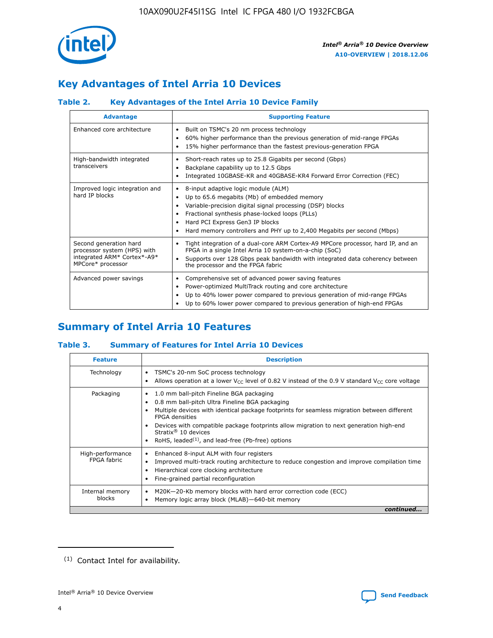

## **Key Advantages of Intel Arria 10 Devices**

## **Table 2. Key Advantages of the Intel Arria 10 Device Family**

| <b>Advantage</b>                                                                                          | <b>Supporting Feature</b>                                                                                                                                                                                                                                                                                                |
|-----------------------------------------------------------------------------------------------------------|--------------------------------------------------------------------------------------------------------------------------------------------------------------------------------------------------------------------------------------------------------------------------------------------------------------------------|
| Enhanced core architecture                                                                                | Built on TSMC's 20 nm process technology<br>٠<br>60% higher performance than the previous generation of mid-range FPGAs<br>٠<br>15% higher performance than the fastest previous-generation FPGA<br>٠                                                                                                                    |
| High-bandwidth integrated<br>transceivers                                                                 | Short-reach rates up to 25.8 Gigabits per second (Gbps)<br>٠<br>Backplane capability up to 12.5 Gbps<br>٠<br>Integrated 10GBASE-KR and 40GBASE-KR4 Forward Error Correction (FEC)<br>٠                                                                                                                                   |
| Improved logic integration and<br>hard IP blocks                                                          | 8-input adaptive logic module (ALM)<br>٠<br>Up to 65.6 megabits (Mb) of embedded memory<br>٠<br>Variable-precision digital signal processing (DSP) blocks<br>Fractional synthesis phase-locked loops (PLLs)<br>Hard PCI Express Gen3 IP blocks<br>Hard memory controllers and PHY up to 2,400 Megabits per second (Mbps) |
| Second generation hard<br>processor system (HPS) with<br>integrated ARM* Cortex*-A9*<br>MPCore* processor | Tight integration of a dual-core ARM Cortex-A9 MPCore processor, hard IP, and an<br>٠<br>FPGA in a single Intel Arria 10 system-on-a-chip (SoC)<br>Supports over 128 Gbps peak bandwidth with integrated data coherency between<br>$\bullet$<br>the processor and the FPGA fabric                                        |
| Advanced power savings                                                                                    | Comprehensive set of advanced power saving features<br>٠<br>Power-optimized MultiTrack routing and core architecture<br>٠<br>Up to 40% lower power compared to previous generation of mid-range FPGAs<br>٠<br>Up to 60% lower power compared to previous generation of high-end FPGAs<br>٠                               |

# **Summary of Intel Arria 10 Features**

## **Table 3. Summary of Features for Intel Arria 10 Devices**

| <b>Feature</b>                  | <b>Description</b>                                                                                                                                                                                                                                                                                                                                                                                       |
|---------------------------------|----------------------------------------------------------------------------------------------------------------------------------------------------------------------------------------------------------------------------------------------------------------------------------------------------------------------------------------------------------------------------------------------------------|
| Technology                      | TSMC's 20-nm SoC process technology<br>٠<br>Allows operation at a lower $V_{\text{CC}}$ level of 0.82 V instead of the 0.9 V standard $V_{\text{CC}}$ core voltage                                                                                                                                                                                                                                       |
| Packaging                       | 1.0 mm ball-pitch Fineline BGA packaging<br>0.8 mm ball-pitch Ultra Fineline BGA packaging<br>Multiple devices with identical package footprints for seamless migration between different<br><b>FPGA</b> densities<br>Devices with compatible package footprints allow migration to next generation high-end<br>Stratix $\mathcal{R}$ 10 devices<br>RoHS, leaded $(1)$ , and lead-free (Pb-free) options |
| High-performance<br>FPGA fabric | Enhanced 8-input ALM with four registers<br>٠<br>Improved multi-track routing architecture to reduce congestion and improve compilation time<br>Hierarchical core clocking architecture<br>Fine-grained partial reconfiguration                                                                                                                                                                          |
| Internal memory<br>blocks       | M20K-20-Kb memory blocks with hard error correction code (ECC)<br>Memory logic array block (MLAB)-640-bit memory                                                                                                                                                                                                                                                                                         |
|                                 | continued                                                                                                                                                                                                                                                                                                                                                                                                |



<sup>(1)</sup> Contact Intel for availability.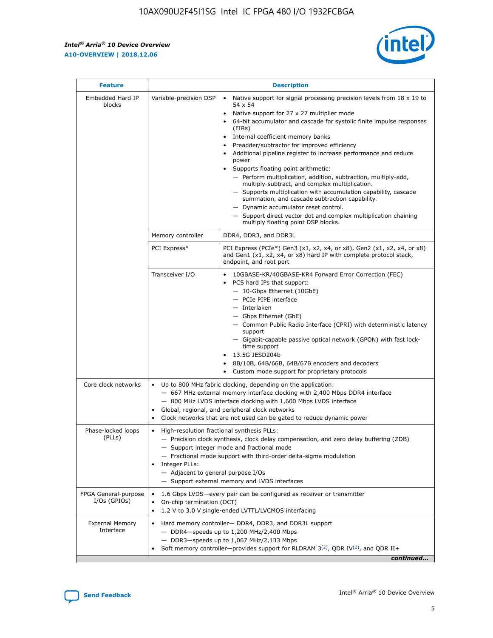$\mathbf{r}$ 



| <b>Feature</b>                         | <b>Description</b>                                                                                             |                                                                                                                                                                                                                                                                                                                                                                                                                                                                                                                                                                                                                                                                                                                                                                                                                                                                  |  |  |  |  |  |
|----------------------------------------|----------------------------------------------------------------------------------------------------------------|------------------------------------------------------------------------------------------------------------------------------------------------------------------------------------------------------------------------------------------------------------------------------------------------------------------------------------------------------------------------------------------------------------------------------------------------------------------------------------------------------------------------------------------------------------------------------------------------------------------------------------------------------------------------------------------------------------------------------------------------------------------------------------------------------------------------------------------------------------------|--|--|--|--|--|
| Embedded Hard IP<br>blocks             | Variable-precision DSP                                                                                         | Native support for signal processing precision levels from $18 \times 19$ to<br>$\bullet$<br>54 x 54<br>Native support for 27 x 27 multiplier mode<br>$\bullet$<br>64-bit accumulator and cascade for systolic finite impulse responses<br>(FIRs)<br>Internal coefficient memory banks<br>$\bullet$<br>Preadder/subtractor for improved efficiency<br>Additional pipeline register to increase performance and reduce<br>power<br>Supports floating point arithmetic:<br>- Perform multiplication, addition, subtraction, multiply-add,<br>multiply-subtract, and complex multiplication.<br>- Supports multiplication with accumulation capability, cascade<br>summation, and cascade subtraction capability.<br>- Dynamic accumulator reset control.<br>- Support direct vector dot and complex multiplication chaining<br>multiply floating point DSP blocks. |  |  |  |  |  |
|                                        | Memory controller                                                                                              | DDR4, DDR3, and DDR3L                                                                                                                                                                                                                                                                                                                                                                                                                                                                                                                                                                                                                                                                                                                                                                                                                                            |  |  |  |  |  |
|                                        | PCI Express*                                                                                                   | PCI Express (PCIe*) Gen3 (x1, x2, x4, or x8), Gen2 (x1, x2, x4, or x8)<br>and Gen1 (x1, x2, x4, or x8) hard IP with complete protocol stack,<br>endpoint, and root port                                                                                                                                                                                                                                                                                                                                                                                                                                                                                                                                                                                                                                                                                          |  |  |  |  |  |
|                                        | Transceiver I/O                                                                                                | 10GBASE-KR/40GBASE-KR4 Forward Error Correction (FEC)<br>PCS hard IPs that support:<br>- 10-Gbps Ethernet (10GbE)<br>- PCIe PIPE interface<br>- Interlaken<br>- Gbps Ethernet (GbE)<br>- Common Public Radio Interface (CPRI) with deterministic latency<br>support<br>- Gigabit-capable passive optical network (GPON) with fast lock-<br>time support<br>13.5G JESD204b<br>$\bullet$<br>8B/10B, 64B/66B, 64B/67B encoders and decoders<br>Custom mode support for proprietary protocols                                                                                                                                                                                                                                                                                                                                                                        |  |  |  |  |  |
| Core clock networks                    | $\bullet$                                                                                                      | Up to 800 MHz fabric clocking, depending on the application:<br>- 667 MHz external memory interface clocking with 2,400 Mbps DDR4 interface<br>- 800 MHz LVDS interface clocking with 1,600 Mbps LVDS interface<br>Global, regional, and peripheral clock networks<br>Clock networks that are not used can be gated to reduce dynamic power                                                                                                                                                                                                                                                                                                                                                                                                                                                                                                                      |  |  |  |  |  |
| Phase-locked loops<br>(PLLs)           | High-resolution fractional synthesis PLLs:<br>$\bullet$<br>Integer PLLs:<br>- Adjacent to general purpose I/Os | - Precision clock synthesis, clock delay compensation, and zero delay buffering (ZDB)<br>- Support integer mode and fractional mode<br>- Fractional mode support with third-order delta-sigma modulation<br>- Support external memory and LVDS interfaces                                                                                                                                                                                                                                                                                                                                                                                                                                                                                                                                                                                                        |  |  |  |  |  |
| FPGA General-purpose<br>$I/Os$ (GPIOs) | On-chip termination (OCT)<br>$\bullet$                                                                         | 1.6 Gbps LVDS-every pair can be configured as receiver or transmitter<br>1.2 V to 3.0 V single-ended LVTTL/LVCMOS interfacing                                                                                                                                                                                                                                                                                                                                                                                                                                                                                                                                                                                                                                                                                                                                    |  |  |  |  |  |
| <b>External Memory</b><br>Interface    | $\bullet$                                                                                                      | Hard memory controller- DDR4, DDR3, and DDR3L support<br>$-$ DDR4-speeds up to 1,200 MHz/2,400 Mbps<br>- DDR3-speeds up to 1,067 MHz/2,133 Mbps<br>Soft memory controller—provides support for RLDRAM $3^{(2)}$ , QDR IV $^{(2)}$ , and QDR II+<br>continued                                                                                                                                                                                                                                                                                                                                                                                                                                                                                                                                                                                                     |  |  |  |  |  |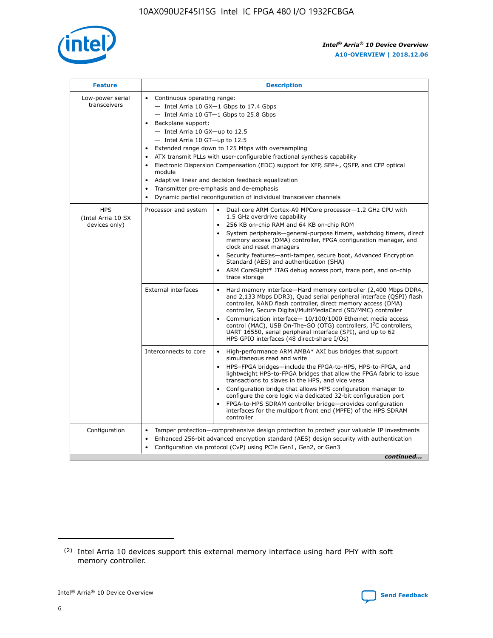

| <b>Feature</b>                                    | <b>Description</b>                                                                                                                                                                                                                                                                                                                                                                                                                                                                                                                                                                                                                             |
|---------------------------------------------------|------------------------------------------------------------------------------------------------------------------------------------------------------------------------------------------------------------------------------------------------------------------------------------------------------------------------------------------------------------------------------------------------------------------------------------------------------------------------------------------------------------------------------------------------------------------------------------------------------------------------------------------------|
| Low-power serial<br>transceivers                  | • Continuous operating range:<br>- Intel Arria 10 GX-1 Gbps to 17.4 Gbps<br>- Intel Arria 10 GT-1 Gbps to 25.8 Gbps<br>Backplane support:<br>$-$ Intel Arria 10 GX-up to 12.5<br>$-$ Intel Arria 10 GT-up to 12.5<br>Extended range down to 125 Mbps with oversampling<br>ATX transmit PLLs with user-configurable fractional synthesis capability<br>• Electronic Dispersion Compensation (EDC) support for XFP, SFP+, QSFP, and CFP optical<br>module<br>• Adaptive linear and decision feedback equalization<br>Transmitter pre-emphasis and de-emphasis<br>$\bullet$<br>Dynamic partial reconfiguration of individual transceiver channels |
| <b>HPS</b><br>(Intel Arria 10 SX<br>devices only) | Processor and system<br>Dual-core ARM Cortex-A9 MPCore processor-1.2 GHz CPU with<br>$\bullet$<br>1.5 GHz overdrive capability<br>256 KB on-chip RAM and 64 KB on-chip ROM<br>$\bullet$<br>System peripherals-general-purpose timers, watchdog timers, direct<br>memory access (DMA) controller, FPGA configuration manager, and<br>clock and reset managers<br>• Security features—anti-tamper, secure boot, Advanced Encryption<br>Standard (AES) and authentication (SHA)<br>ARM CoreSight* JTAG debug access port, trace port, and on-chip<br>trace storage                                                                                |
|                                                   | <b>External interfaces</b><br>Hard memory interface—Hard memory controller (2,400 Mbps DDR4,<br>$\bullet$<br>and 2,133 Mbps DDR3), Quad serial peripheral interface (QSPI) flash<br>controller, NAND flash controller, direct memory access (DMA)<br>controller, Secure Digital/MultiMediaCard (SD/MMC) controller<br>Communication interface-10/100/1000 Ethernet media access<br>control (MAC), USB On-The-GO (OTG) controllers, I <sup>2</sup> C controllers,<br>UART 16550, serial peripheral interface (SPI), and up to 62<br>HPS GPIO interfaces (48 direct-share I/Os)                                                                  |
|                                                   | High-performance ARM AMBA* AXI bus bridges that support<br>Interconnects to core<br>$\bullet$<br>simultaneous read and write<br>HPS-FPGA bridges—include the FPGA-to-HPS, HPS-to-FPGA, and<br>$\bullet$<br>lightweight HPS-to-FPGA bridges that allow the FPGA fabric to issue<br>transactions to slaves in the HPS, and vice versa<br>Configuration bridge that allows HPS configuration manager to<br>configure the core logic via dedicated 32-bit configuration port<br>FPGA-to-HPS SDRAM controller bridge-provides configuration<br>interfaces for the multiport front end (MPFE) of the HPS SDRAM<br>controller                         |
| Configuration                                     | Tamper protection—comprehensive design protection to protect your valuable IP investments<br>Enhanced 256-bit advanced encryption standard (AES) design security with authentication<br>$\bullet$<br>Configuration via protocol (CvP) using PCIe Gen1, Gen2, or Gen3<br>continued                                                                                                                                                                                                                                                                                                                                                              |

<sup>(2)</sup> Intel Arria 10 devices support this external memory interface using hard PHY with soft memory controller.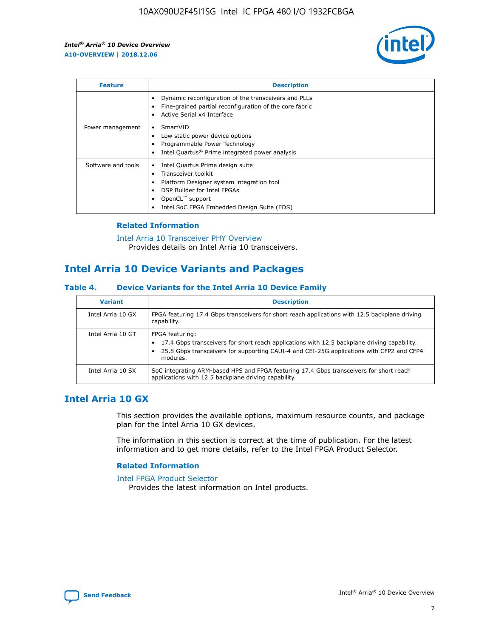

| <b>Feature</b>     | <b>Description</b>                                                                                                                                                                                               |
|--------------------|------------------------------------------------------------------------------------------------------------------------------------------------------------------------------------------------------------------|
|                    | Dynamic reconfiguration of the transceivers and PLLs<br>Fine-grained partial reconfiguration of the core fabric<br>Active Serial x4 Interface<br>$\bullet$                                                       |
| Power management   | SmartVID<br>Low static power device options<br>Programmable Power Technology<br>Intel Quartus <sup>®</sup> Prime integrated power analysis                                                                       |
| Software and tools | Intel Quartus Prime design suite<br>Transceiver toolkit<br>Platform Designer system integration tool<br>DSP Builder for Intel FPGAs<br>OpenCL <sup>™</sup> support<br>Intel SoC FPGA Embedded Design Suite (EDS) |

## **Related Information**

[Intel Arria 10 Transceiver PHY Overview](https://www.intel.com/content/www/us/en/programmable/documentation/nik1398707230472.html#nik1398706768037) Provides details on Intel Arria 10 transceivers.

## **Intel Arria 10 Device Variants and Packages**

#### **Table 4. Device Variants for the Intel Arria 10 Device Family**

| <b>Variant</b>    | <b>Description</b>                                                                                                                                                                                                     |
|-------------------|------------------------------------------------------------------------------------------------------------------------------------------------------------------------------------------------------------------------|
| Intel Arria 10 GX | FPGA featuring 17.4 Gbps transceivers for short reach applications with 12.5 backplane driving<br>capability.                                                                                                          |
| Intel Arria 10 GT | FPGA featuring:<br>17.4 Gbps transceivers for short reach applications with 12.5 backplane driving capability.<br>25.8 Gbps transceivers for supporting CAUI-4 and CEI-25G applications with CFP2 and CFP4<br>modules. |
| Intel Arria 10 SX | SoC integrating ARM-based HPS and FPGA featuring 17.4 Gbps transceivers for short reach<br>applications with 12.5 backplane driving capability.                                                                        |

## **Intel Arria 10 GX**

This section provides the available options, maximum resource counts, and package plan for the Intel Arria 10 GX devices.

The information in this section is correct at the time of publication. For the latest information and to get more details, refer to the Intel FPGA Product Selector.

#### **Related Information**

#### [Intel FPGA Product Selector](http://www.altera.com/products/selector/psg-selector.html) Provides the latest information on Intel products.

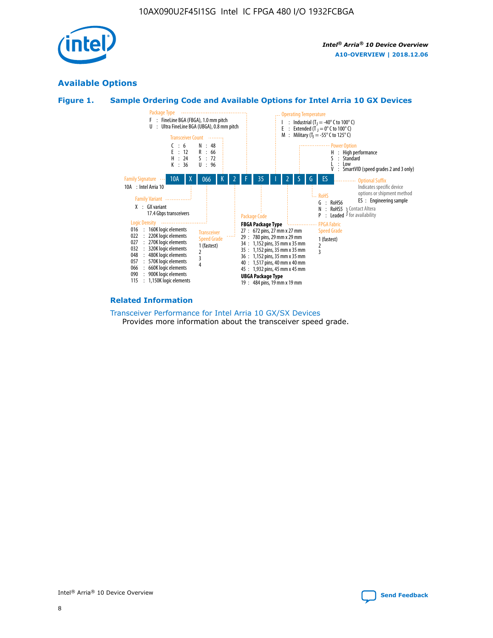

## **Available Options**





#### **Related Information**

[Transceiver Performance for Intel Arria 10 GX/SX Devices](https://www.intel.com/content/www/us/en/programmable/documentation/mcn1413182292568.html#mcn1413213965502) Provides more information about the transceiver speed grade.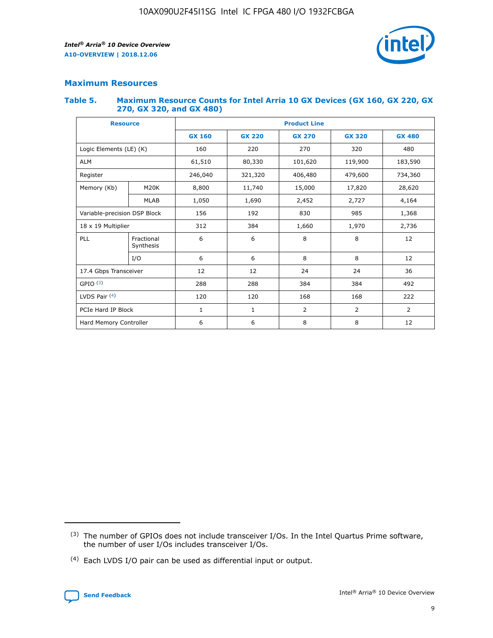

## **Maximum Resources**

#### **Table 5. Maximum Resource Counts for Intel Arria 10 GX Devices (GX 160, GX 220, GX 270, GX 320, and GX 480)**

| <b>Resource</b>              |                         | <b>Product Line</b>      |                                                 |                |                |                |  |  |  |
|------------------------------|-------------------------|--------------------------|-------------------------------------------------|----------------|----------------|----------------|--|--|--|
|                              |                         | <b>GX 160</b>            | <b>GX 220</b><br><b>GX 270</b><br><b>GX 320</b> |                |                | <b>GX 480</b>  |  |  |  |
| Logic Elements (LE) (K)      |                         | 160                      | 220                                             | 270            | 320            | 480            |  |  |  |
| <b>ALM</b>                   |                         | 61,510                   | 80,330                                          | 101,620        | 119,900        | 183,590        |  |  |  |
| Register                     |                         | 246,040                  | 321,320                                         | 406,480        | 479,600        | 734,360        |  |  |  |
| Memory (Kb)                  | M <sub>20</sub> K       | 8,800                    | 11,740                                          | 15,000         | 17,820         | 28,620         |  |  |  |
| <b>MLAB</b>                  |                         | 1,050                    | 1,690                                           | 2,452          | 2,727          | 4,164          |  |  |  |
| Variable-precision DSP Block |                         | 156<br>192<br>830<br>985 |                                                 |                |                | 1,368          |  |  |  |
| 18 x 19 Multiplier           |                         | 312                      | 384                                             | 1,970<br>1,660 |                | 2,736          |  |  |  |
| PLL                          | Fractional<br>Synthesis | 6                        | 6                                               | 8              | 8              | 12             |  |  |  |
|                              | I/O                     | 6                        | 6                                               | 8              | 8              | 12             |  |  |  |
| 17.4 Gbps Transceiver        |                         | 12                       | 12                                              | 24             | 24             | 36             |  |  |  |
| GPIO <sup>(3)</sup>          |                         | 288                      | 288                                             | 384            | 384            | 492            |  |  |  |
| LVDS Pair $(4)$              |                         | 120                      | 120                                             | 168            | 168            | 222            |  |  |  |
| PCIe Hard IP Block           |                         | 1                        | 1                                               | 2              | $\overline{2}$ | $\overline{2}$ |  |  |  |
| Hard Memory Controller       |                         | 6                        | 6                                               | 8              | 8              | 12             |  |  |  |

<sup>(4)</sup> Each LVDS I/O pair can be used as differential input or output.



<sup>(3)</sup> The number of GPIOs does not include transceiver I/Os. In the Intel Quartus Prime software, the number of user I/Os includes transceiver I/Os.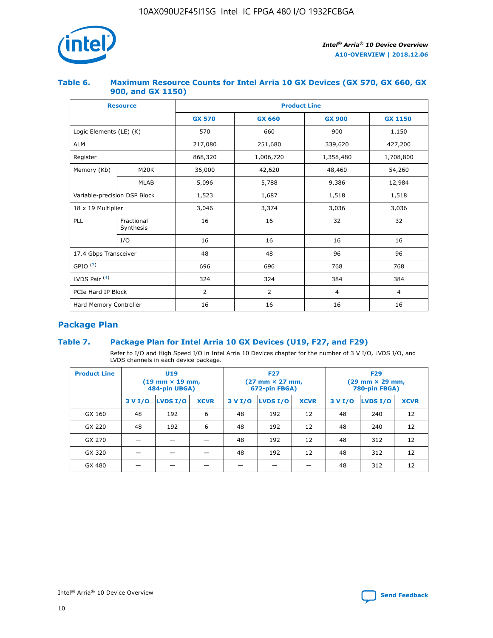

## **Table 6. Maximum Resource Counts for Intel Arria 10 GX Devices (GX 570, GX 660, GX 900, and GX 1150)**

|                              | <b>Resource</b>         | <b>Product Line</b> |                |                |                |  |  |  |
|------------------------------|-------------------------|---------------------|----------------|----------------|----------------|--|--|--|
|                              |                         | <b>GX 570</b>       | <b>GX 660</b>  | <b>GX 900</b>  | <b>GX 1150</b> |  |  |  |
| Logic Elements (LE) (K)      |                         | 570                 | 660            | 900            | 1,150          |  |  |  |
| <b>ALM</b>                   |                         | 217,080             | 251,680        | 339,620        | 427,200        |  |  |  |
| Register                     |                         | 868,320             | 1,006,720      | 1,358,480      | 1,708,800      |  |  |  |
| Memory (Kb)                  | <b>M20K</b>             | 36,000              | 42,620         | 48,460         | 54,260         |  |  |  |
|                              | <b>MLAB</b>             | 5,096               | 5,788          |                | 12,984         |  |  |  |
| Variable-precision DSP Block |                         | 1,523               | 1,687          | 1,518          | 1,518          |  |  |  |
|                              | 18 x 19 Multiplier      |                     | 3,374          | 3,036          | 3,036          |  |  |  |
| PLL                          | Fractional<br>Synthesis | 16                  | 16             | 32             | 32             |  |  |  |
|                              | I/O                     | 16                  | 16             | 16             | 16             |  |  |  |
| 17.4 Gbps Transceiver        |                         | 48                  | 48             | 96             | 96             |  |  |  |
| GPIO <sup>(3)</sup>          |                         | 696                 | 696            | 768            | 768            |  |  |  |
| LVDS Pair $(4)$              |                         | 324                 | 324            | 384            | 384            |  |  |  |
| PCIe Hard IP Block           |                         | 2                   | $\overline{2}$ | $\overline{4}$ | $\overline{4}$ |  |  |  |
| Hard Memory Controller       |                         | 16                  | 16             | 16             | 16             |  |  |  |

## **Package Plan**

## **Table 7. Package Plan for Intel Arria 10 GX Devices (U19, F27, and F29)**

Refer to I/O and High Speed I/O in Intel Arria 10 Devices chapter for the number of 3 V I/O, LVDS I/O, and LVDS channels in each device package.

| <b>Product Line</b> | U <sub>19</sub><br>$(19 \text{ mm} \times 19 \text{ mm})$<br>484-pin UBGA) |          |             |         | <b>F27</b><br>(27 mm × 27 mm,<br>672-pin FBGA) |             | <b>F29</b><br>(29 mm × 29 mm,<br>780-pin FBGA) |          |             |  |
|---------------------|----------------------------------------------------------------------------|----------|-------------|---------|------------------------------------------------|-------------|------------------------------------------------|----------|-------------|--|
|                     | 3 V I/O                                                                    | LVDS I/O | <b>XCVR</b> | 3 V I/O | <b>LVDS I/O</b>                                | <b>XCVR</b> | 3 V I/O                                        | LVDS I/O | <b>XCVR</b> |  |
| GX 160              | 48                                                                         | 192      | 6           | 48      | 192                                            | 12          | 48                                             | 240      | 12          |  |
| GX 220              | 48                                                                         | 192      | 6           | 48      | 192                                            | 12          | 48                                             | 240      | 12          |  |
| GX 270              |                                                                            |          |             | 48      | 192                                            | 12          | 48                                             | 312      | 12          |  |
| GX 320              |                                                                            |          |             | 48      | 192                                            | 12          | 48                                             | 312      | 12          |  |
| GX 480              |                                                                            |          |             |         |                                                |             | 48                                             | 312      | 12          |  |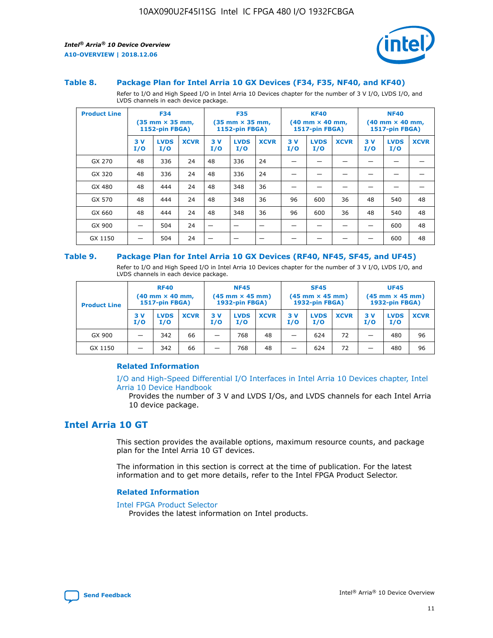

#### **Table 8. Package Plan for Intel Arria 10 GX Devices (F34, F35, NF40, and KF40)**

Refer to I/O and High Speed I/O in Intel Arria 10 Devices chapter for the number of 3 V I/O, LVDS I/O, and LVDS channels in each device package.

| <b>Product Line</b> | <b>F34</b><br>$(35 \text{ mm} \times 35 \text{ mm})$<br>1152-pin FBGA) |                    | <b>F35</b><br>$(35 \text{ mm} \times 35 \text{ mm})$<br><b>1152-pin FBGA)</b> |           | <b>KF40</b><br>$(40$ mm $\times$ 40 mm,<br>1517-pin FBGA) |             |           | <b>NF40</b><br>$(40$ mm $\times$ 40 mm,<br><b>1517-pin FBGA)</b> |             |            |                    |             |
|---------------------|------------------------------------------------------------------------|--------------------|-------------------------------------------------------------------------------|-----------|-----------------------------------------------------------|-------------|-----------|------------------------------------------------------------------|-------------|------------|--------------------|-------------|
|                     | 3V<br>I/O                                                              | <b>LVDS</b><br>I/O | <b>XCVR</b>                                                                   | 3V<br>I/O | <b>LVDS</b><br>I/O                                        | <b>XCVR</b> | 3V<br>I/O | <b>LVDS</b><br>I/O                                               | <b>XCVR</b> | 3 V<br>I/O | <b>LVDS</b><br>I/O | <b>XCVR</b> |
| GX 270              | 48                                                                     | 336                | 24                                                                            | 48        | 336                                                       | 24          |           |                                                                  |             |            |                    |             |
| GX 320              | 48                                                                     | 336                | 24                                                                            | 48        | 336                                                       | 24          |           |                                                                  |             |            |                    |             |
| GX 480              | 48                                                                     | 444                | 24                                                                            | 48        | 348                                                       | 36          |           |                                                                  |             |            |                    |             |
| GX 570              | 48                                                                     | 444                | 24                                                                            | 48        | 348                                                       | 36          | 96        | 600                                                              | 36          | 48         | 540                | 48          |
| GX 660              | 48                                                                     | 444                | 24                                                                            | 48        | 348                                                       | 36          | 96        | 600                                                              | 36          | 48         | 540                | 48          |
| GX 900              |                                                                        | 504                | 24                                                                            | –         |                                                           |             |           |                                                                  |             |            | 600                | 48          |
| GX 1150             |                                                                        | 504                | 24                                                                            |           |                                                           |             |           |                                                                  |             |            | 600                | 48          |

#### **Table 9. Package Plan for Intel Arria 10 GX Devices (RF40, NF45, SF45, and UF45)**

Refer to I/O and High Speed I/O in Intel Arria 10 Devices chapter for the number of 3 V I/O, LVDS I/O, and LVDS channels in each device package.

| <b>Product Line</b> | <b>RF40</b><br>$(40$ mm $\times$ 40 mm,<br>1517-pin FBGA) |                    |             | <b>NF45</b><br>$(45 \text{ mm} \times 45 \text{ mm})$<br><b>1932-pin FBGA)</b> |                    |             | <b>SF45</b><br>$(45 \text{ mm} \times 45 \text{ mm})$<br><b>1932-pin FBGA)</b> |                    |             | <b>UF45</b><br>$(45 \text{ mm} \times 45 \text{ mm})$<br><b>1932-pin FBGA)</b> |                    |             |
|---------------------|-----------------------------------------------------------|--------------------|-------------|--------------------------------------------------------------------------------|--------------------|-------------|--------------------------------------------------------------------------------|--------------------|-------------|--------------------------------------------------------------------------------|--------------------|-------------|
|                     | 3V<br>I/O                                                 | <b>LVDS</b><br>I/O | <b>XCVR</b> | 3 V<br>I/O                                                                     | <b>LVDS</b><br>I/O | <b>XCVR</b> | 3 V<br>I/O                                                                     | <b>LVDS</b><br>I/O | <b>XCVR</b> | 3V<br>I/O                                                                      | <b>LVDS</b><br>I/O | <b>XCVR</b> |
| GX 900              |                                                           | 342                | 66          | _                                                                              | 768                | 48          |                                                                                | 624                | 72          |                                                                                | 480                | 96          |
| GX 1150             |                                                           | 342                | 66          | _                                                                              | 768                | 48          |                                                                                | 624                | 72          |                                                                                | 480                | 96          |

#### **Related Information**

[I/O and High-Speed Differential I/O Interfaces in Intel Arria 10 Devices chapter, Intel](https://www.intel.com/content/www/us/en/programmable/documentation/sam1403482614086.html#sam1403482030321) [Arria 10 Device Handbook](https://www.intel.com/content/www/us/en/programmable/documentation/sam1403482614086.html#sam1403482030321)

Provides the number of 3 V and LVDS I/Os, and LVDS channels for each Intel Arria 10 device package.

## **Intel Arria 10 GT**

This section provides the available options, maximum resource counts, and package plan for the Intel Arria 10 GT devices.

The information in this section is correct at the time of publication. For the latest information and to get more details, refer to the Intel FPGA Product Selector.

#### **Related Information**

#### [Intel FPGA Product Selector](http://www.altera.com/products/selector/psg-selector.html)

Provides the latest information on Intel products.

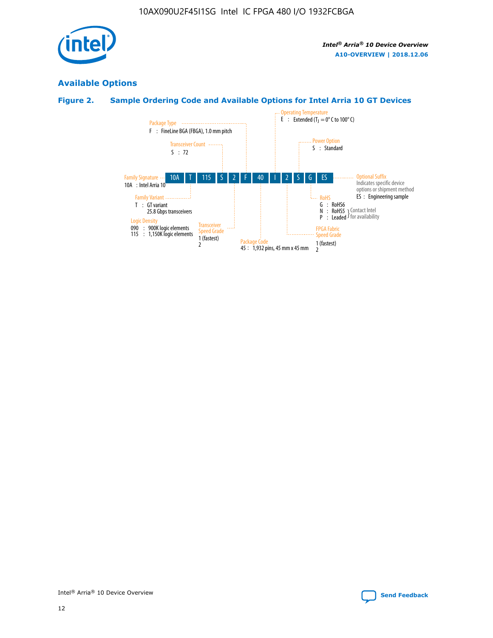

## **Available Options**

## **Figure 2. Sample Ordering Code and Available Options for Intel Arria 10 GT Devices**

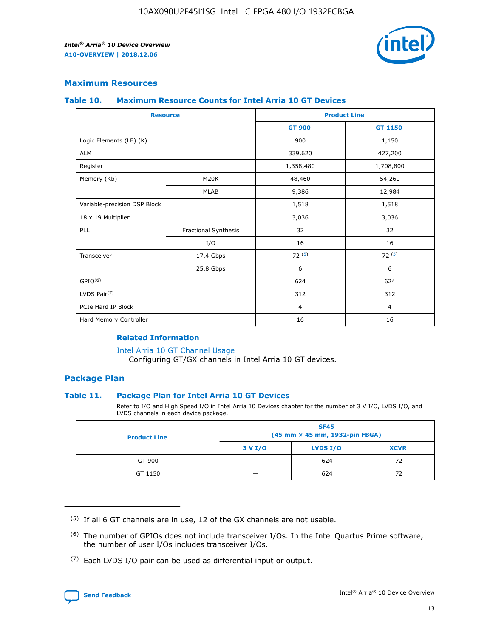

## **Maximum Resources**

#### **Table 10. Maximum Resource Counts for Intel Arria 10 GT Devices**

| <b>Resource</b>              |                      | <b>Product Line</b> |                |  |
|------------------------------|----------------------|---------------------|----------------|--|
|                              |                      | <b>GT 900</b>       | <b>GT 1150</b> |  |
| Logic Elements (LE) (K)      |                      | 900                 | 1,150          |  |
| <b>ALM</b>                   |                      | 339,620             | 427,200        |  |
| Register                     |                      | 1,358,480           | 1,708,800      |  |
| Memory (Kb)                  | M20K                 | 48,460              | 54,260         |  |
|                              | <b>MLAB</b>          | 9,386               | 12,984         |  |
| Variable-precision DSP Block |                      | 1,518               | 1,518          |  |
| 18 x 19 Multiplier           |                      | 3,036               | 3,036          |  |
| PLL                          | Fractional Synthesis | 32                  | 32             |  |
|                              | I/O                  | 16                  | 16             |  |
| Transceiver                  | 17.4 Gbps            | 72(5)               | 72(5)          |  |
|                              | 25.8 Gbps            | 6                   | 6              |  |
| GPIO <sup>(6)</sup>          |                      | 624                 | 624            |  |
| LVDS Pair $(7)$              |                      | 312                 | 312            |  |
| PCIe Hard IP Block           |                      | $\overline{4}$      | $\overline{4}$ |  |
| Hard Memory Controller       |                      | 16                  | 16             |  |

#### **Related Information**

#### [Intel Arria 10 GT Channel Usage](https://www.intel.com/content/www/us/en/programmable/documentation/nik1398707230472.html#nik1398707008178)

Configuring GT/GX channels in Intel Arria 10 GT devices.

## **Package Plan**

#### **Table 11. Package Plan for Intel Arria 10 GT Devices**

Refer to I/O and High Speed I/O in Intel Arria 10 Devices chapter for the number of 3 V I/O, LVDS I/O, and LVDS channels in each device package.

| <b>Product Line</b> | <b>SF45</b><br>(45 mm × 45 mm, 1932-pin FBGA) |                 |             |  |  |  |
|---------------------|-----------------------------------------------|-----------------|-------------|--|--|--|
|                     | 3 V I/O                                       | <b>LVDS I/O</b> | <b>XCVR</b> |  |  |  |
| GT 900              |                                               | 624             | 72          |  |  |  |
| GT 1150             |                                               | 624             | 72          |  |  |  |

<sup>(7)</sup> Each LVDS I/O pair can be used as differential input or output.



 $(5)$  If all 6 GT channels are in use, 12 of the GX channels are not usable.

<sup>(6)</sup> The number of GPIOs does not include transceiver I/Os. In the Intel Quartus Prime software, the number of user I/Os includes transceiver I/Os.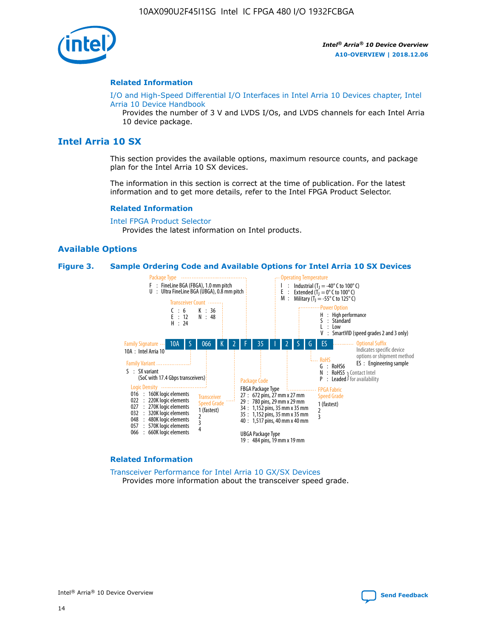

#### **Related Information**

[I/O and High-Speed Differential I/O Interfaces in Intel Arria 10 Devices chapter, Intel](https://www.intel.com/content/www/us/en/programmable/documentation/sam1403482614086.html#sam1403482030321) [Arria 10 Device Handbook](https://www.intel.com/content/www/us/en/programmable/documentation/sam1403482614086.html#sam1403482030321)

Provides the number of 3 V and LVDS I/Os, and LVDS channels for each Intel Arria 10 device package.

## **Intel Arria 10 SX**

This section provides the available options, maximum resource counts, and package plan for the Intel Arria 10 SX devices.

The information in this section is correct at the time of publication. For the latest information and to get more details, refer to the Intel FPGA Product Selector.

#### **Related Information**

[Intel FPGA Product Selector](http://www.altera.com/products/selector/psg-selector.html) Provides the latest information on Intel products.

#### **Available Options**

#### **Figure 3. Sample Ordering Code and Available Options for Intel Arria 10 SX Devices**



#### **Related Information**

[Transceiver Performance for Intel Arria 10 GX/SX Devices](https://www.intel.com/content/www/us/en/programmable/documentation/mcn1413182292568.html#mcn1413213965502) Provides more information about the transceiver speed grade.

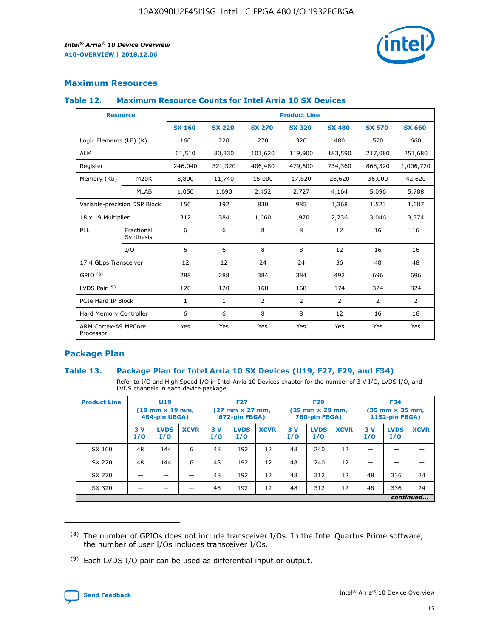

## **Maximum Resources**

#### **Table 12. Maximum Resource Counts for Intel Arria 10 SX Devices**

| <b>Resource</b>                   |                         |               |               |                | <b>Product Line</b> |                |                |                |
|-----------------------------------|-------------------------|---------------|---------------|----------------|---------------------|----------------|----------------|----------------|
|                                   |                         | <b>SX 160</b> | <b>SX 220</b> | <b>SX 270</b>  | <b>SX 320</b>       | <b>SX 480</b>  | <b>SX 570</b>  | <b>SX 660</b>  |
| Logic Elements (LE) (K)           |                         | 160           | 220           | 270            | 320                 | 480            | 570            | 660            |
| <b>ALM</b>                        |                         | 61,510        | 80,330        | 101,620        | 119,900             | 183,590        | 217,080        | 251,680        |
| Register                          |                         | 246,040       | 321,320       | 406,480        | 479,600             | 734,360        | 868,320        | 1,006,720      |
| Memory (Kb)                       | M <sub>20</sub> K       | 8,800         | 11,740        | 15,000         | 17,820              | 28,620         | 36,000         | 42,620         |
|                                   | <b>MLAB</b>             | 1,050         | 1,690         | 2,452          | 2,727               | 4,164          | 5,096          | 5,788          |
| Variable-precision DSP Block      |                         | 156           | 192           | 830            | 985                 | 1,368          | 1,523          | 1,687          |
| 18 x 19 Multiplier                |                         | 312           | 384           | 1,660          | 1,970               | 2,736          | 3,046          | 3,374          |
| PLL                               | Fractional<br>Synthesis | 6             | 6             | 8              | 8                   | 12             | 16             | 16             |
|                                   | I/O                     | 6             | 6             | 8              | 8                   | 12             | 16             | 16             |
| 17.4 Gbps Transceiver             |                         | 12            | 12            | 24             | 24                  | 36             | 48             | 48             |
| GPIO <sup>(8)</sup>               |                         | 288           | 288           | 384            | 384                 | 492            | 696            | 696            |
| LVDS Pair $(9)$                   |                         | 120           | 120           | 168            | 168                 | 174            | 324            | 324            |
| PCIe Hard IP Block                |                         | $\mathbf{1}$  | $\mathbf{1}$  | $\overline{2}$ | $\overline{2}$      | $\overline{2}$ | $\overline{2}$ | $\overline{2}$ |
| Hard Memory Controller            |                         | 6             | 6             | 8              | 8                   | 12             | 16             | 16             |
| ARM Cortex-A9 MPCore<br>Processor |                         | Yes           | Yes           | Yes            | Yes                 | Yes            | Yes            | Yes            |

## **Package Plan**

#### **Table 13. Package Plan for Intel Arria 10 SX Devices (U19, F27, F29, and F34)**

Refer to I/O and High Speed I/O in Intel Arria 10 Devices chapter for the number of 3 V I/O, LVDS I/O, and LVDS channels in each device package.

| <b>Product Line</b> | <b>U19</b><br>$(19 \text{ mm} \times 19 \text{ mm})$<br>484-pin UBGA) |                    | <b>F27</b><br>$(27 \text{ mm} \times 27 \text{ mm})$<br>672-pin FBGA) |           | <b>F29</b><br>$(29$ mm $\times$ 29 mm,<br>780-pin FBGA) |             |            | <b>F34</b><br>$(35 \text{ mm} \times 35 \text{ mm})$<br>1152-pin FBGA) |             |           |                    |             |
|---------------------|-----------------------------------------------------------------------|--------------------|-----------------------------------------------------------------------|-----------|---------------------------------------------------------|-------------|------------|------------------------------------------------------------------------|-------------|-----------|--------------------|-------------|
|                     | 3V<br>I/O                                                             | <b>LVDS</b><br>I/O | <b>XCVR</b>                                                           | 3V<br>I/O | <b>LVDS</b><br>I/O                                      | <b>XCVR</b> | 3 V<br>I/O | <b>LVDS</b><br>I/O                                                     | <b>XCVR</b> | 3V<br>I/O | <b>LVDS</b><br>I/O | <b>XCVR</b> |
| SX 160              | 48                                                                    | 144                | 6                                                                     | 48        | 192                                                     | 12          | 48         | 240                                                                    | 12          | –         |                    |             |
| SX 220              | 48                                                                    | 144                | 6                                                                     | 48        | 192                                                     | 12          | 48         | 240                                                                    | 12          |           |                    |             |
| SX 270              |                                                                       |                    |                                                                       | 48        | 192                                                     | 12          | 48         | 312                                                                    | 12          | 48        | 336                | 24          |
| SX 320              |                                                                       |                    |                                                                       | 48        | 192                                                     | 12          | 48         | 312                                                                    | 12          | 48        | 336                | 24          |
|                     | continued                                                             |                    |                                                                       |           |                                                         |             |            |                                                                        |             |           |                    |             |

 $(8)$  The number of GPIOs does not include transceiver I/Os. In the Intel Quartus Prime software, the number of user I/Os includes transceiver I/Os.

 $(9)$  Each LVDS I/O pair can be used as differential input or output.

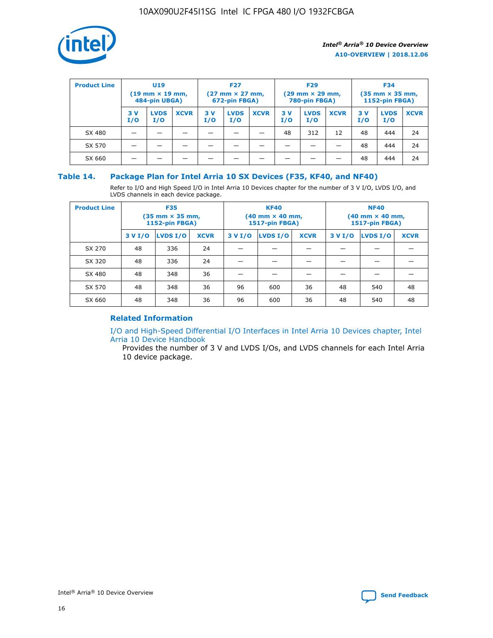

| <b>Product Line</b> | U <sub>19</sub><br>$(19 \text{ mm} \times 19 \text{ mm})$<br>484-pin UBGA) |                    | <b>F27</b><br>$(27 \text{ mm} \times 27 \text{ mm})$<br>672-pin FBGA) |           |                    | <b>F29</b><br>$(29 \text{ mm} \times 29 \text{ mm})$<br>780-pin FBGA) |           |                    | <b>F34</b><br>$(35$ mm $\times$ 35 mm,<br><b>1152-pin FBGA)</b> |           |                    |             |
|---------------------|----------------------------------------------------------------------------|--------------------|-----------------------------------------------------------------------|-----------|--------------------|-----------------------------------------------------------------------|-----------|--------------------|-----------------------------------------------------------------|-----------|--------------------|-------------|
|                     | 3 V<br>I/O                                                                 | <b>LVDS</b><br>I/O | <b>XCVR</b>                                                           | 3V<br>I/O | <b>LVDS</b><br>I/O | <b>XCVR</b>                                                           | 3V<br>I/O | <b>LVDS</b><br>I/O | <b>XCVR</b>                                                     | 3V<br>I/O | <b>LVDS</b><br>I/O | <b>XCVR</b> |
| SX 480              |                                                                            |                    |                                                                       |           |                    |                                                                       | 48        | 312                | 12                                                              | 48        | 444                | 24          |
| SX 570              |                                                                            |                    |                                                                       |           |                    |                                                                       |           |                    |                                                                 | 48        | 444                | 24          |
| SX 660              |                                                                            |                    |                                                                       |           |                    |                                                                       |           |                    |                                                                 | 48        | 444                | 24          |

## **Table 14. Package Plan for Intel Arria 10 SX Devices (F35, KF40, and NF40)**

Refer to I/O and High Speed I/O in Intel Arria 10 Devices chapter for the number of 3 V I/O, LVDS I/O, and LVDS channels in each device package.

| <b>Product Line</b> | <b>F35</b><br>(35 mm × 35 mm,<br><b>1152-pin FBGA)</b> |          |             |                                           | <b>KF40</b><br>(40 mm × 40 mm,<br>1517-pin FBGA) |    | <b>NF40</b><br>$(40 \text{ mm} \times 40 \text{ mm})$<br>1517-pin FBGA) |          |             |  |
|---------------------|--------------------------------------------------------|----------|-------------|-------------------------------------------|--------------------------------------------------|----|-------------------------------------------------------------------------|----------|-------------|--|
|                     | 3 V I/O                                                | LVDS I/O | <b>XCVR</b> | <b>LVDS I/O</b><br>3 V I/O<br><b>XCVR</b> |                                                  |    | 3 V I/O                                                                 | LVDS I/O | <b>XCVR</b> |  |
| SX 270              | 48                                                     | 336      | 24          |                                           |                                                  |    |                                                                         |          |             |  |
| SX 320              | 48                                                     | 336      | 24          |                                           |                                                  |    |                                                                         |          |             |  |
| SX 480              | 48                                                     | 348      | 36          |                                           |                                                  |    |                                                                         |          |             |  |
| SX 570              | 48                                                     | 348      | 36          | 96<br>36<br>600                           |                                                  |    | 48                                                                      | 540      | 48          |  |
| SX 660              | 48                                                     | 348      | 36          | 96                                        | 600                                              | 36 | 48                                                                      | 540      | 48          |  |

## **Related Information**

[I/O and High-Speed Differential I/O Interfaces in Intel Arria 10 Devices chapter, Intel](https://www.intel.com/content/www/us/en/programmable/documentation/sam1403482614086.html#sam1403482030321) [Arria 10 Device Handbook](https://www.intel.com/content/www/us/en/programmable/documentation/sam1403482614086.html#sam1403482030321)

Provides the number of 3 V and LVDS I/Os, and LVDS channels for each Intel Arria 10 device package.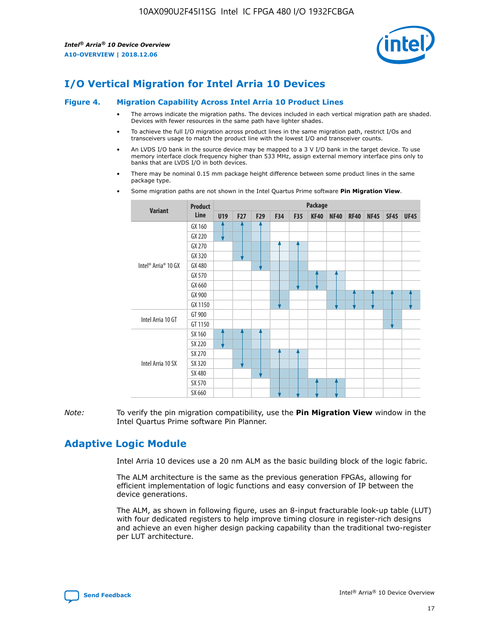

## **I/O Vertical Migration for Intel Arria 10 Devices**

#### **Figure 4. Migration Capability Across Intel Arria 10 Product Lines**

- The arrows indicate the migration paths. The devices included in each vertical migration path are shaded. Devices with fewer resources in the same path have lighter shades.
- To achieve the full I/O migration across product lines in the same migration path, restrict I/Os and transceivers usage to match the product line with the lowest I/O and transceiver counts.
- An LVDS I/O bank in the source device may be mapped to a 3 V I/O bank in the target device. To use memory interface clock frequency higher than 533 MHz, assign external memory interface pins only to banks that are LVDS I/O in both devices.
- There may be nominal 0.15 mm package height difference between some product lines in the same package type.
	- **Variant Product Line Package U19 F27 F29 F34 F35 KF40 NF40 RF40 NF45 SF45 UF45** Intel® Arria® 10 GX GX 160 GX 220 GX 270 GX 320 GX 480 GX 570 GX 660 GX 900 GX 1150 Intel Arria 10 GT GT 900 GT 1150 Intel Arria 10 SX SX 160 SX 220 SX 270 SX 320 SX 480 SX 570 SX 660
- Some migration paths are not shown in the Intel Quartus Prime software **Pin Migration View**.

*Note:* To verify the pin migration compatibility, use the **Pin Migration View** window in the Intel Quartus Prime software Pin Planner.

## **Adaptive Logic Module**

Intel Arria 10 devices use a 20 nm ALM as the basic building block of the logic fabric.

The ALM architecture is the same as the previous generation FPGAs, allowing for efficient implementation of logic functions and easy conversion of IP between the device generations.

The ALM, as shown in following figure, uses an 8-input fracturable look-up table (LUT) with four dedicated registers to help improve timing closure in register-rich designs and achieve an even higher design packing capability than the traditional two-register per LUT architecture.

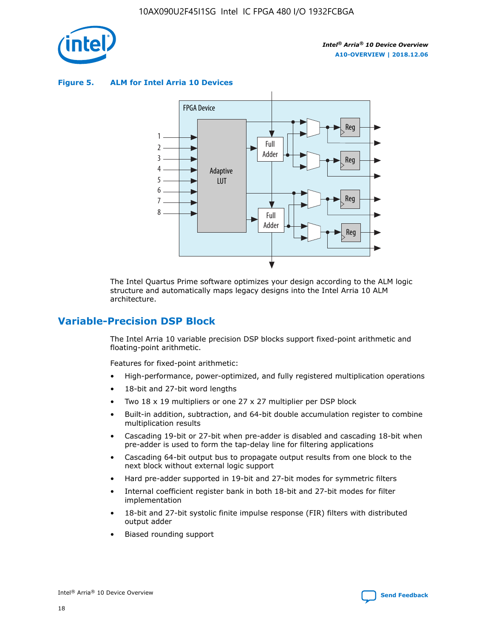

**Figure 5. ALM for Intel Arria 10 Devices**



The Intel Quartus Prime software optimizes your design according to the ALM logic structure and automatically maps legacy designs into the Intel Arria 10 ALM architecture.

## **Variable-Precision DSP Block**

The Intel Arria 10 variable precision DSP blocks support fixed-point arithmetic and floating-point arithmetic.

Features for fixed-point arithmetic:

- High-performance, power-optimized, and fully registered multiplication operations
- 18-bit and 27-bit word lengths
- Two 18 x 19 multipliers or one 27 x 27 multiplier per DSP block
- Built-in addition, subtraction, and 64-bit double accumulation register to combine multiplication results
- Cascading 19-bit or 27-bit when pre-adder is disabled and cascading 18-bit when pre-adder is used to form the tap-delay line for filtering applications
- Cascading 64-bit output bus to propagate output results from one block to the next block without external logic support
- Hard pre-adder supported in 19-bit and 27-bit modes for symmetric filters
- Internal coefficient register bank in both 18-bit and 27-bit modes for filter implementation
- 18-bit and 27-bit systolic finite impulse response (FIR) filters with distributed output adder
- Biased rounding support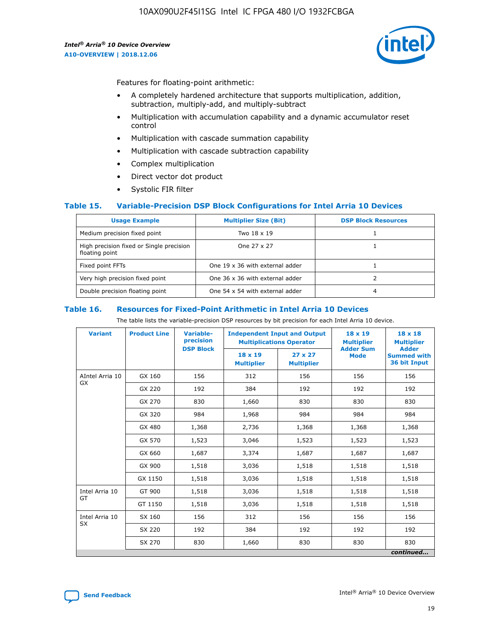

Features for floating-point arithmetic:

- A completely hardened architecture that supports multiplication, addition, subtraction, multiply-add, and multiply-subtract
- Multiplication with accumulation capability and a dynamic accumulator reset control
- Multiplication with cascade summation capability
- Multiplication with cascade subtraction capability
- Complex multiplication
- Direct vector dot product
- Systolic FIR filter

#### **Table 15. Variable-Precision DSP Block Configurations for Intel Arria 10 Devices**

| <b>Usage Example</b>                                       | <b>Multiplier Size (Bit)</b>    | <b>DSP Block Resources</b> |
|------------------------------------------------------------|---------------------------------|----------------------------|
| Medium precision fixed point                               | Two 18 x 19                     |                            |
| High precision fixed or Single precision<br>floating point | One 27 x 27                     |                            |
| Fixed point FFTs                                           | One 19 x 36 with external adder |                            |
| Very high precision fixed point                            | One 36 x 36 with external adder |                            |
| Double precision floating point                            | One 54 x 54 with external adder | 4                          |

#### **Table 16. Resources for Fixed-Point Arithmetic in Intel Arria 10 Devices**

The table lists the variable-precision DSP resources by bit precision for each Intel Arria 10 device.

| <b>Variant</b>  | <b>Product Line</b> | <b>Variable-</b><br>precision<br><b>DSP Block</b> | <b>Independent Input and Output</b><br><b>Multiplications Operator</b> |                                     | 18 x 19<br><b>Multiplier</b><br><b>Adder Sum</b> | $18 \times 18$<br><b>Multiplier</b><br><b>Adder</b> |
|-----------------|---------------------|---------------------------------------------------|------------------------------------------------------------------------|-------------------------------------|--------------------------------------------------|-----------------------------------------------------|
|                 |                     |                                                   | 18 x 19<br><b>Multiplier</b>                                           | $27 \times 27$<br><b>Multiplier</b> | <b>Mode</b>                                      | <b>Summed with</b><br>36 bit Input                  |
| AIntel Arria 10 | GX 160              | 156                                               | 312                                                                    | 156                                 | 156                                              | 156                                                 |
| GX              | GX 220              | 192                                               | 384                                                                    | 192                                 | 192                                              | 192                                                 |
|                 | GX 270              | 830                                               | 1,660                                                                  | 830                                 | 830                                              | 830                                                 |
|                 | GX 320              | 984                                               | 1,968                                                                  | 984                                 | 984                                              | 984                                                 |
|                 | GX 480              | 1,368                                             | 2,736                                                                  | 1,368                               | 1,368                                            | 1,368                                               |
|                 | GX 570              | 1,523                                             | 3,046                                                                  | 1,523                               | 1,523                                            | 1,523                                               |
|                 | GX 660              | 1,687                                             | 3,374                                                                  | 1,687                               | 1,687                                            | 1,687                                               |
|                 | GX 900              | 1,518                                             | 3,036                                                                  | 1,518                               | 1,518                                            | 1,518                                               |
|                 | GX 1150             | 1,518                                             | 3,036                                                                  | 1,518                               | 1,518                                            | 1,518                                               |
| Intel Arria 10  | GT 900              | 1,518                                             | 3,036                                                                  | 1,518                               | 1,518                                            | 1,518                                               |
| GT              | GT 1150             | 1,518                                             | 3,036                                                                  | 1,518                               | 1,518                                            | 1,518                                               |
| Intel Arria 10  | SX 160              | 156                                               | 312                                                                    | 156                                 | 156                                              | 156                                                 |
| <b>SX</b>       | SX 220              | 192                                               | 384                                                                    | 192                                 | 192                                              | 192                                                 |
|                 | SX 270              | 830                                               | 830<br>1,660                                                           |                                     | 830                                              | 830                                                 |
|                 |                     |                                                   |                                                                        |                                     |                                                  | continued                                           |

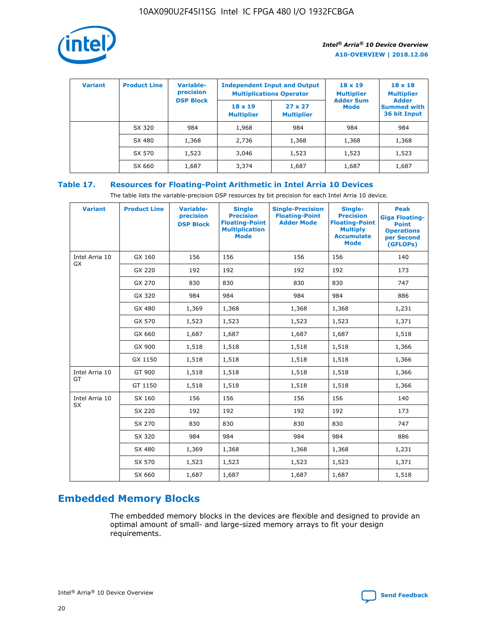

| <b>Variant</b> | <b>Product Line</b> | <b>Variable-</b><br>precision<br><b>DSP Block</b> | <b>Independent Input and Output</b><br><b>Multiplications Operator</b> |                                     | $18 \times 19$<br><b>Multiplier</b><br><b>Adder Sum</b> | $18 \times 18$<br><b>Multiplier</b><br><b>Adder</b> |  |
|----------------|---------------------|---------------------------------------------------|------------------------------------------------------------------------|-------------------------------------|---------------------------------------------------------|-----------------------------------------------------|--|
|                |                     |                                                   | $18 \times 19$<br><b>Multiplier</b>                                    | $27 \times 27$<br><b>Multiplier</b> | <b>Mode</b>                                             | <b>Summed with</b><br>36 bit Input                  |  |
|                | SX 320              | 984                                               | 1,968                                                                  | 984                                 | 984                                                     | 984                                                 |  |
|                | SX 480              | 1,368                                             | 2,736                                                                  | 1,368                               | 1,368                                                   | 1,368                                               |  |
|                | SX 570              | 1,523                                             | 3,046                                                                  | 1,523                               | 1,523                                                   | 1,523                                               |  |
|                | SX 660              | 1,687                                             | 3,374                                                                  | 1,687                               | 1,687                                                   | 1,687                                               |  |

## **Table 17. Resources for Floating-Point Arithmetic in Intel Arria 10 Devices**

The table lists the variable-precision DSP resources by bit precision for each Intel Arria 10 device.

| <b>Variant</b> | <b>Product Line</b> | <b>Variable-</b><br>precision<br><b>DSP Block</b> | <b>Single</b><br><b>Precision</b><br><b>Floating-Point</b><br><b>Multiplication</b><br><b>Mode</b> | <b>Single-Precision</b><br><b>Floating-Point</b><br><b>Adder Mode</b> | Single-<br><b>Precision</b><br><b>Floating-Point</b><br><b>Multiply</b><br><b>Accumulate</b><br><b>Mode</b> | <b>Peak</b><br><b>Giga Floating-</b><br><b>Point</b><br><b>Operations</b><br>per Second<br>(GFLOPs) |
|----------------|---------------------|---------------------------------------------------|----------------------------------------------------------------------------------------------------|-----------------------------------------------------------------------|-------------------------------------------------------------------------------------------------------------|-----------------------------------------------------------------------------------------------------|
| Intel Arria 10 | GX 160              | 156                                               | 156                                                                                                | 156                                                                   | 156                                                                                                         | 140                                                                                                 |
| GX             | GX 220              | 192                                               | 192                                                                                                | 192                                                                   | 192                                                                                                         | 173                                                                                                 |
|                | GX 270              | 830                                               | 830                                                                                                | 830                                                                   | 830                                                                                                         | 747                                                                                                 |
|                | GX 320              | 984                                               | 984                                                                                                | 984                                                                   | 984                                                                                                         | 886                                                                                                 |
|                | GX 480              | 1,369                                             | 1,368                                                                                              | 1,368                                                                 | 1,368                                                                                                       | 1,231                                                                                               |
|                | GX 570              | 1,523                                             | 1,523                                                                                              | 1,523                                                                 | 1,523                                                                                                       | 1,371                                                                                               |
|                | GX 660              | 1,687                                             | 1,687                                                                                              | 1,687                                                                 | 1,687                                                                                                       | 1,518                                                                                               |
|                | GX 900              | 1,518                                             | 1,518                                                                                              | 1,518                                                                 | 1,518                                                                                                       | 1,366                                                                                               |
|                | GX 1150             | 1,518                                             | 1,518                                                                                              | 1,518                                                                 | 1,518                                                                                                       | 1,366                                                                                               |
| Intel Arria 10 | GT 900              | 1,518                                             | 1,518                                                                                              | 1,518                                                                 | 1,518                                                                                                       | 1,366                                                                                               |
| GT             | GT 1150             | 1,518                                             | 1,518                                                                                              | 1,518                                                                 | 1,518                                                                                                       | 1,366                                                                                               |
| Intel Arria 10 | SX 160              | 156                                               | 156                                                                                                | 156                                                                   | 156                                                                                                         | 140                                                                                                 |
| <b>SX</b>      | SX 220              | 192                                               | 192                                                                                                | 192                                                                   | 192                                                                                                         | 173                                                                                                 |
|                | SX 270              | 830                                               | 830                                                                                                | 830                                                                   | 830                                                                                                         | 747                                                                                                 |
|                | SX 320              | 984                                               | 984                                                                                                | 984                                                                   | 984                                                                                                         | 886                                                                                                 |
|                | SX 480              | 1,369                                             | 1,368                                                                                              | 1,368                                                                 | 1,368                                                                                                       | 1,231                                                                                               |
|                | SX 570              | 1,523                                             | 1,523                                                                                              | 1,523                                                                 | 1,523                                                                                                       | 1,371                                                                                               |
|                | SX 660              | 1,687                                             | 1,687                                                                                              | 1,687                                                                 | 1,687                                                                                                       | 1,518                                                                                               |

# **Embedded Memory Blocks**

The embedded memory blocks in the devices are flexible and designed to provide an optimal amount of small- and large-sized memory arrays to fit your design requirements.

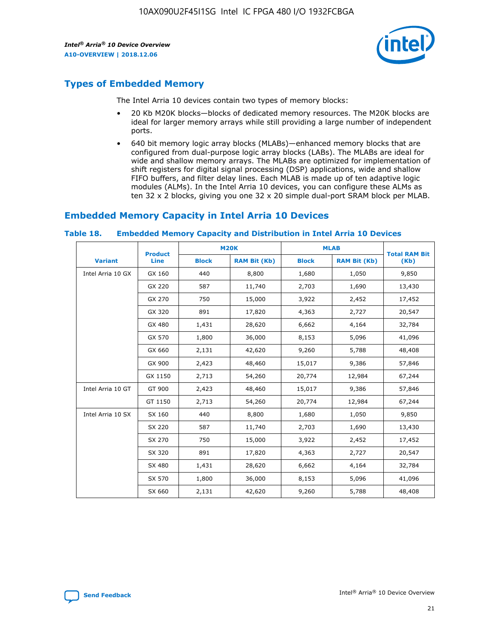

## **Types of Embedded Memory**

The Intel Arria 10 devices contain two types of memory blocks:

- 20 Kb M20K blocks—blocks of dedicated memory resources. The M20K blocks are ideal for larger memory arrays while still providing a large number of independent ports.
- 640 bit memory logic array blocks (MLABs)—enhanced memory blocks that are configured from dual-purpose logic array blocks (LABs). The MLABs are ideal for wide and shallow memory arrays. The MLABs are optimized for implementation of shift registers for digital signal processing (DSP) applications, wide and shallow FIFO buffers, and filter delay lines. Each MLAB is made up of ten adaptive logic modules (ALMs). In the Intel Arria 10 devices, you can configure these ALMs as ten 32 x 2 blocks, giving you one 32 x 20 simple dual-port SRAM block per MLAB.

## **Embedded Memory Capacity in Intel Arria 10 Devices**

|                   | <b>Product</b> |              | <b>M20K</b>         | <b>MLAB</b>  |                     | <b>Total RAM Bit</b> |
|-------------------|----------------|--------------|---------------------|--------------|---------------------|----------------------|
| <b>Variant</b>    | <b>Line</b>    | <b>Block</b> | <b>RAM Bit (Kb)</b> | <b>Block</b> | <b>RAM Bit (Kb)</b> | (Kb)                 |
| Intel Arria 10 GX | GX 160         | 440          | 8,800               | 1,680        | 1,050               | 9,850                |
|                   | GX 220         | 587          | 11,740              | 2,703        | 1,690               | 13,430               |
|                   | GX 270         | 750          | 15,000              | 3,922        | 2,452               | 17,452               |
|                   | GX 320         | 891          | 17,820              | 4,363        | 2,727               | 20,547               |
|                   | GX 480         | 1,431        | 28,620              | 6,662        | 4,164               | 32,784               |
|                   | GX 570         | 1,800        | 36,000              | 8,153        | 5,096               | 41,096               |
|                   | GX 660         | 2,131        | 42,620              | 9,260        | 5,788               | 48,408               |
|                   | GX 900         | 2,423        | 48,460              | 15,017       | 9,386               | 57,846               |
|                   | GX 1150        | 2,713        | 54,260              | 20,774       | 12,984              | 67,244               |
| Intel Arria 10 GT | GT 900         | 2,423        | 48,460              | 15,017       | 9,386               | 57,846               |
|                   | GT 1150        | 2,713        | 54,260              | 20,774       | 12,984              | 67,244               |
| Intel Arria 10 SX | SX 160         | 440          | 8,800               | 1,680        | 1,050               | 9,850                |
|                   | SX 220         | 587          | 11,740              | 2,703        | 1,690               | 13,430               |
|                   | SX 270         | 750          | 15,000              | 3,922        | 2,452               | 17,452               |
|                   | SX 320         | 891          | 17,820              | 4,363        | 2,727               | 20,547               |
|                   | SX 480         | 1,431        | 28,620              | 6,662        | 4,164               | 32,784               |
|                   | SX 570         | 1,800        | 36,000              | 8,153        | 5,096               | 41,096               |
|                   | SX 660         | 2,131        | 42,620              | 9,260        | 5,788               | 48,408               |

#### **Table 18. Embedded Memory Capacity and Distribution in Intel Arria 10 Devices**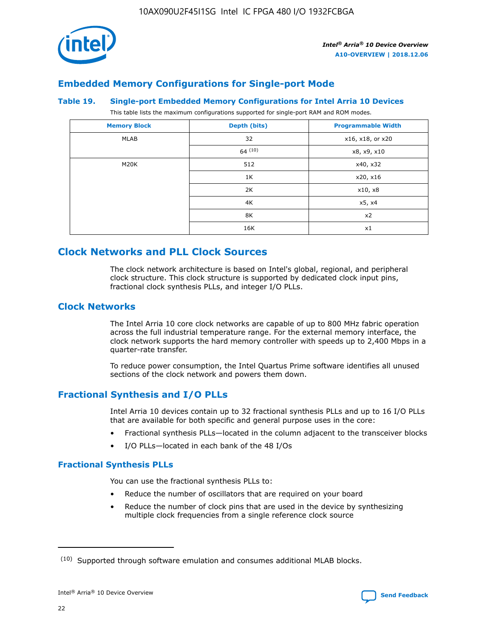

## **Embedded Memory Configurations for Single-port Mode**

#### **Table 19. Single-port Embedded Memory Configurations for Intel Arria 10 Devices**

This table lists the maximum configurations supported for single-port RAM and ROM modes.

| <b>Memory Block</b> | Depth (bits) | <b>Programmable Width</b> |
|---------------------|--------------|---------------------------|
| MLAB                | 32           | x16, x18, or x20          |
|                     | 64(10)       | x8, x9, x10               |
| M20K                | 512          | x40, x32                  |
|                     | 1K           | x20, x16                  |
|                     | 2K           | x10, x8                   |
|                     | 4K           | x5, x4                    |
|                     | 8K           | x2                        |
|                     | 16K          | x1                        |

## **Clock Networks and PLL Clock Sources**

The clock network architecture is based on Intel's global, regional, and peripheral clock structure. This clock structure is supported by dedicated clock input pins, fractional clock synthesis PLLs, and integer I/O PLLs.

## **Clock Networks**

The Intel Arria 10 core clock networks are capable of up to 800 MHz fabric operation across the full industrial temperature range. For the external memory interface, the clock network supports the hard memory controller with speeds up to 2,400 Mbps in a quarter-rate transfer.

To reduce power consumption, the Intel Quartus Prime software identifies all unused sections of the clock network and powers them down.

## **Fractional Synthesis and I/O PLLs**

Intel Arria 10 devices contain up to 32 fractional synthesis PLLs and up to 16 I/O PLLs that are available for both specific and general purpose uses in the core:

- Fractional synthesis PLLs—located in the column adjacent to the transceiver blocks
- I/O PLLs—located in each bank of the 48 I/Os

#### **Fractional Synthesis PLLs**

You can use the fractional synthesis PLLs to:

- Reduce the number of oscillators that are required on your board
- Reduce the number of clock pins that are used in the device by synthesizing multiple clock frequencies from a single reference clock source

<sup>(10)</sup> Supported through software emulation and consumes additional MLAB blocks.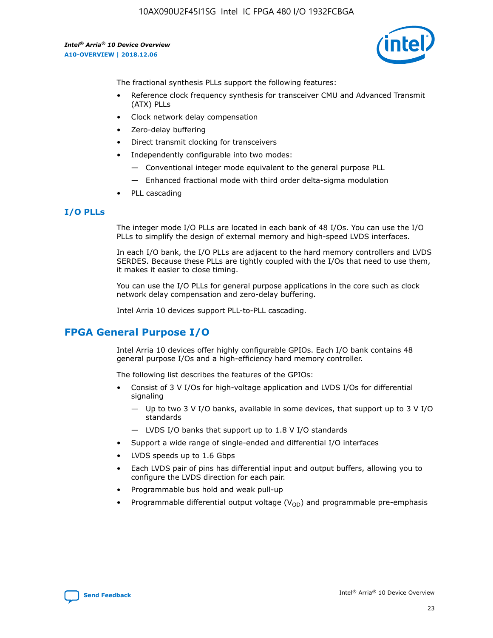

The fractional synthesis PLLs support the following features:

- Reference clock frequency synthesis for transceiver CMU and Advanced Transmit (ATX) PLLs
- Clock network delay compensation
- Zero-delay buffering
- Direct transmit clocking for transceivers
- Independently configurable into two modes:
	- Conventional integer mode equivalent to the general purpose PLL
	- Enhanced fractional mode with third order delta-sigma modulation
- PLL cascading

#### **I/O PLLs**

The integer mode I/O PLLs are located in each bank of 48 I/Os. You can use the I/O PLLs to simplify the design of external memory and high-speed LVDS interfaces.

In each I/O bank, the I/O PLLs are adjacent to the hard memory controllers and LVDS SERDES. Because these PLLs are tightly coupled with the I/Os that need to use them, it makes it easier to close timing.

You can use the I/O PLLs for general purpose applications in the core such as clock network delay compensation and zero-delay buffering.

Intel Arria 10 devices support PLL-to-PLL cascading.

## **FPGA General Purpose I/O**

Intel Arria 10 devices offer highly configurable GPIOs. Each I/O bank contains 48 general purpose I/Os and a high-efficiency hard memory controller.

The following list describes the features of the GPIOs:

- Consist of 3 V I/Os for high-voltage application and LVDS I/Os for differential signaling
	- Up to two 3 V I/O banks, available in some devices, that support up to 3 V I/O standards
	- LVDS I/O banks that support up to 1.8 V I/O standards
- Support a wide range of single-ended and differential I/O interfaces
- LVDS speeds up to 1.6 Gbps
- Each LVDS pair of pins has differential input and output buffers, allowing you to configure the LVDS direction for each pair.
- Programmable bus hold and weak pull-up
- Programmable differential output voltage  $(V_{OD})$  and programmable pre-emphasis

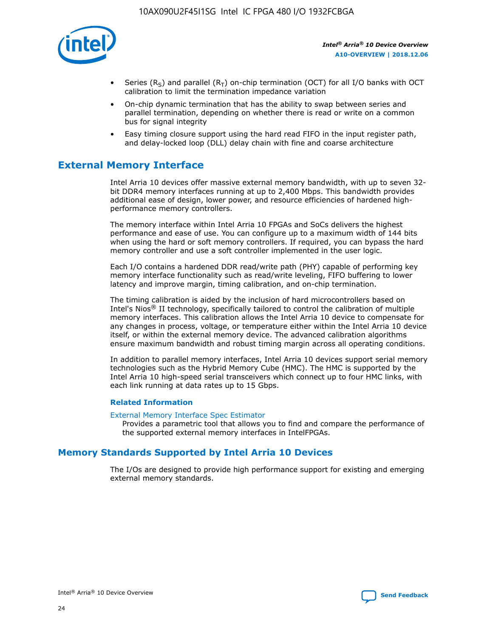

- Series (R<sub>S</sub>) and parallel (R<sub>T</sub>) on-chip termination (OCT) for all I/O banks with OCT calibration to limit the termination impedance variation
- On-chip dynamic termination that has the ability to swap between series and parallel termination, depending on whether there is read or write on a common bus for signal integrity
- Easy timing closure support using the hard read FIFO in the input register path, and delay-locked loop (DLL) delay chain with fine and coarse architecture

## **External Memory Interface**

Intel Arria 10 devices offer massive external memory bandwidth, with up to seven 32 bit DDR4 memory interfaces running at up to 2,400 Mbps. This bandwidth provides additional ease of design, lower power, and resource efficiencies of hardened highperformance memory controllers.

The memory interface within Intel Arria 10 FPGAs and SoCs delivers the highest performance and ease of use. You can configure up to a maximum width of 144 bits when using the hard or soft memory controllers. If required, you can bypass the hard memory controller and use a soft controller implemented in the user logic.

Each I/O contains a hardened DDR read/write path (PHY) capable of performing key memory interface functionality such as read/write leveling, FIFO buffering to lower latency and improve margin, timing calibration, and on-chip termination.

The timing calibration is aided by the inclusion of hard microcontrollers based on Intel's Nios® II technology, specifically tailored to control the calibration of multiple memory interfaces. This calibration allows the Intel Arria 10 device to compensate for any changes in process, voltage, or temperature either within the Intel Arria 10 device itself, or within the external memory device. The advanced calibration algorithms ensure maximum bandwidth and robust timing margin across all operating conditions.

In addition to parallel memory interfaces, Intel Arria 10 devices support serial memory technologies such as the Hybrid Memory Cube (HMC). The HMC is supported by the Intel Arria 10 high-speed serial transceivers which connect up to four HMC links, with each link running at data rates up to 15 Gbps.

#### **Related Information**

#### [External Memory Interface Spec Estimator](http://www.altera.com/technology/memory/estimator/mem-emif-index.html)

Provides a parametric tool that allows you to find and compare the performance of the supported external memory interfaces in IntelFPGAs.

## **Memory Standards Supported by Intel Arria 10 Devices**

The I/Os are designed to provide high performance support for existing and emerging external memory standards.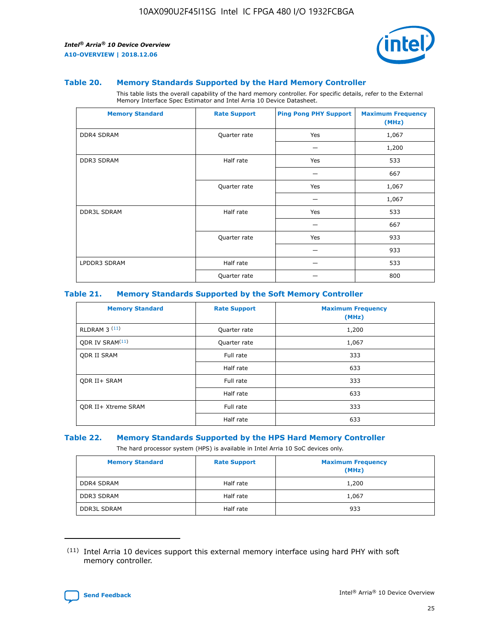

#### **Table 20. Memory Standards Supported by the Hard Memory Controller**

This table lists the overall capability of the hard memory controller. For specific details, refer to the External Memory Interface Spec Estimator and Intel Arria 10 Device Datasheet.

| <b>Memory Standard</b> | <b>Rate Support</b> | <b>Ping Pong PHY Support</b> | <b>Maximum Frequency</b><br>(MHz) |
|------------------------|---------------------|------------------------------|-----------------------------------|
| <b>DDR4 SDRAM</b>      | Quarter rate        | Yes                          | 1,067                             |
|                        |                     |                              | 1,200                             |
| DDR3 SDRAM             | Half rate           | Yes                          | 533                               |
|                        |                     |                              | 667                               |
|                        | Quarter rate        | Yes                          | 1,067                             |
|                        |                     |                              | 1,067                             |
| <b>DDR3L SDRAM</b>     | Half rate           | Yes                          | 533                               |
|                        |                     |                              | 667                               |
|                        | Quarter rate        | Yes                          | 933                               |
|                        |                     |                              | 933                               |
| LPDDR3 SDRAM           | Half rate           |                              | 533                               |
|                        | Quarter rate        |                              | 800                               |

#### **Table 21. Memory Standards Supported by the Soft Memory Controller**

| <b>Memory Standard</b>      | <b>Rate Support</b> | <b>Maximum Frequency</b><br>(MHz) |
|-----------------------------|---------------------|-----------------------------------|
| <b>RLDRAM 3 (11)</b>        | Quarter rate        | 1,200                             |
| ODR IV SRAM <sup>(11)</sup> | Quarter rate        | 1,067                             |
| <b>ODR II SRAM</b>          | Full rate           | 333                               |
|                             | Half rate           | 633                               |
| <b>ODR II+ SRAM</b>         | Full rate           | 333                               |
|                             | Half rate           | 633                               |
| <b>ODR II+ Xtreme SRAM</b>  | Full rate           | 333                               |
|                             | Half rate           | 633                               |

#### **Table 22. Memory Standards Supported by the HPS Hard Memory Controller**

The hard processor system (HPS) is available in Intel Arria 10 SoC devices only.

| <b>Memory Standard</b> | <b>Rate Support</b> | <b>Maximum Frequency</b><br>(MHz) |
|------------------------|---------------------|-----------------------------------|
| <b>DDR4 SDRAM</b>      | Half rate           | 1,200                             |
| DDR3 SDRAM             | Half rate           | 1,067                             |
| <b>DDR3L SDRAM</b>     | Half rate           | 933                               |

<sup>(11)</sup> Intel Arria 10 devices support this external memory interface using hard PHY with soft memory controller.

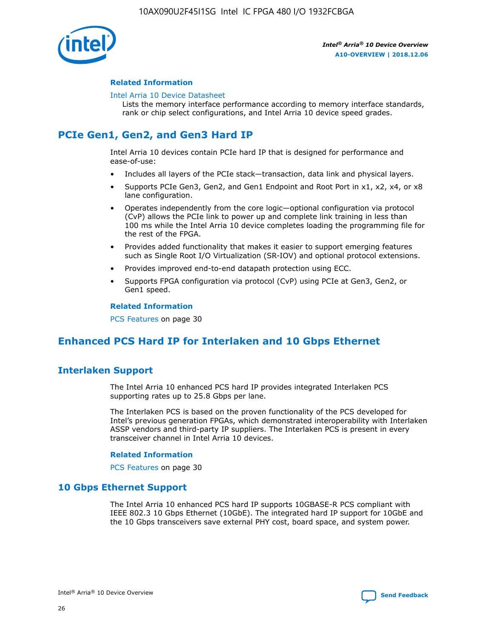

#### **Related Information**

#### [Intel Arria 10 Device Datasheet](https://www.intel.com/content/www/us/en/programmable/documentation/mcn1413182292568.html#mcn1413182153340)

Lists the memory interface performance according to memory interface standards, rank or chip select configurations, and Intel Arria 10 device speed grades.

## **PCIe Gen1, Gen2, and Gen3 Hard IP**

Intel Arria 10 devices contain PCIe hard IP that is designed for performance and ease-of-use:

- Includes all layers of the PCIe stack—transaction, data link and physical layers.
- Supports PCIe Gen3, Gen2, and Gen1 Endpoint and Root Port in x1, x2, x4, or x8 lane configuration.
- Operates independently from the core logic—optional configuration via protocol (CvP) allows the PCIe link to power up and complete link training in less than 100 ms while the Intel Arria 10 device completes loading the programming file for the rest of the FPGA.
- Provides added functionality that makes it easier to support emerging features such as Single Root I/O Virtualization (SR-IOV) and optional protocol extensions.
- Provides improved end-to-end datapath protection using ECC.
- Supports FPGA configuration via protocol (CvP) using PCIe at Gen3, Gen2, or Gen1 speed.

#### **Related Information**

PCS Features on page 30

## **Enhanced PCS Hard IP for Interlaken and 10 Gbps Ethernet**

## **Interlaken Support**

The Intel Arria 10 enhanced PCS hard IP provides integrated Interlaken PCS supporting rates up to 25.8 Gbps per lane.

The Interlaken PCS is based on the proven functionality of the PCS developed for Intel's previous generation FPGAs, which demonstrated interoperability with Interlaken ASSP vendors and third-party IP suppliers. The Interlaken PCS is present in every transceiver channel in Intel Arria 10 devices.

#### **Related Information**

PCS Features on page 30

## **10 Gbps Ethernet Support**

The Intel Arria 10 enhanced PCS hard IP supports 10GBASE-R PCS compliant with IEEE 802.3 10 Gbps Ethernet (10GbE). The integrated hard IP support for 10GbE and the 10 Gbps transceivers save external PHY cost, board space, and system power.

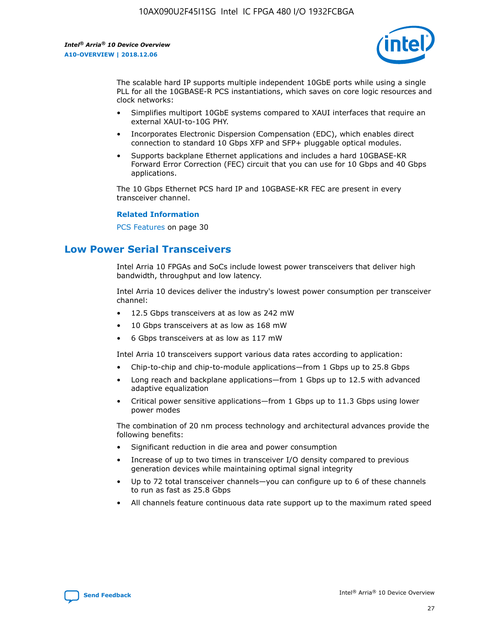

The scalable hard IP supports multiple independent 10GbE ports while using a single PLL for all the 10GBASE-R PCS instantiations, which saves on core logic resources and clock networks:

- Simplifies multiport 10GbE systems compared to XAUI interfaces that require an external XAUI-to-10G PHY.
- Incorporates Electronic Dispersion Compensation (EDC), which enables direct connection to standard 10 Gbps XFP and SFP+ pluggable optical modules.
- Supports backplane Ethernet applications and includes a hard 10GBASE-KR Forward Error Correction (FEC) circuit that you can use for 10 Gbps and 40 Gbps applications.

The 10 Gbps Ethernet PCS hard IP and 10GBASE-KR FEC are present in every transceiver channel.

#### **Related Information**

PCS Features on page 30

## **Low Power Serial Transceivers**

Intel Arria 10 FPGAs and SoCs include lowest power transceivers that deliver high bandwidth, throughput and low latency.

Intel Arria 10 devices deliver the industry's lowest power consumption per transceiver channel:

- 12.5 Gbps transceivers at as low as 242 mW
- 10 Gbps transceivers at as low as 168 mW
- 6 Gbps transceivers at as low as 117 mW

Intel Arria 10 transceivers support various data rates according to application:

- Chip-to-chip and chip-to-module applications—from 1 Gbps up to 25.8 Gbps
- Long reach and backplane applications—from 1 Gbps up to 12.5 with advanced adaptive equalization
- Critical power sensitive applications—from 1 Gbps up to 11.3 Gbps using lower power modes

The combination of 20 nm process technology and architectural advances provide the following benefits:

- Significant reduction in die area and power consumption
- Increase of up to two times in transceiver I/O density compared to previous generation devices while maintaining optimal signal integrity
- Up to 72 total transceiver channels—you can configure up to 6 of these channels to run as fast as 25.8 Gbps
- All channels feature continuous data rate support up to the maximum rated speed

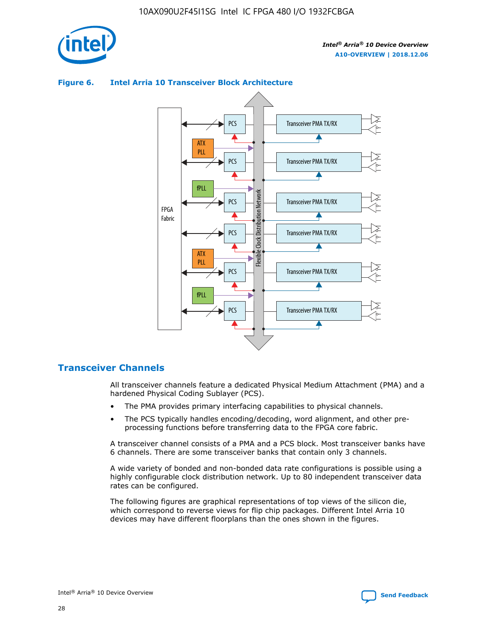

## Transceiver PMA TX/RX PCS ATX PLL Transceiver PMA TX/RX PCS fPLL Network Flexible Clock Distribution Network PCS Transceiver PMA TX/RX FPGA **Clock Distribution** Fabric PCS Transceiver PMA TX/RX ATX Flexible PLL PCS Transceiver PMA TX/RX ▲ fPLL Transceiver PMA TX/RX PCS 4

## **Figure 6. Intel Arria 10 Transceiver Block Architecture**

## **Transceiver Channels**

All transceiver channels feature a dedicated Physical Medium Attachment (PMA) and a hardened Physical Coding Sublayer (PCS).

- The PMA provides primary interfacing capabilities to physical channels.
- The PCS typically handles encoding/decoding, word alignment, and other preprocessing functions before transferring data to the FPGA core fabric.

A transceiver channel consists of a PMA and a PCS block. Most transceiver banks have 6 channels. There are some transceiver banks that contain only 3 channels.

A wide variety of bonded and non-bonded data rate configurations is possible using a highly configurable clock distribution network. Up to 80 independent transceiver data rates can be configured.

The following figures are graphical representations of top views of the silicon die, which correspond to reverse views for flip chip packages. Different Intel Arria 10 devices may have different floorplans than the ones shown in the figures.

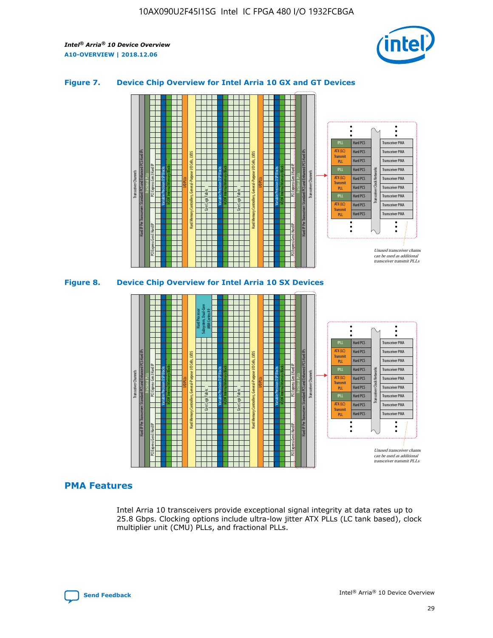

## **Figure 7. Device Chip Overview for Intel Arria 10 GX and GT Devices**



M20K Internal Memory Blocks Core Logic Fabric Transceiver Channels Hard IP Per Transceiver: Standard PCS and Enhanced PCS Hard IPs PCI Express Gen3 Hard IP Fractional PLLs M20K Internal Memory Blocks PCI Express Gen3 Hard IP Variable Precision DSP Blocks I/O PLLs Hard Memory Controllers, General-Purpose I/O Cells, LVDS Hard Processor Subsystem, Dual-Core ARM Cortex A9 M20K Internal Memory Blocks Variable Precision DSP Blocks M20K Internal Memory Blocks Core Logic Fabric I/O PLLs Hard Memory Controllers, General-Purpose I/O Cells, LVDS M20K Internal Memory Blocks Variable Precision DSP Blocks M20K Internal Memory Blocks Transceiver Channels Hard IP Per Transceiver: Standard PCS and Enhanced PCS Hard IPs PCI Express Gen3 Hard IP Fractional PLLs PCI Express Gen3 Hard IP  $\ddot{\cdot}$ Hard PCS Transceiver PMA fPLL ATX (LC) Hard PCS Transceiver PMA **Transmit** Hard PCS Transceiver PMA PLL fPLL Hard PCS Transceiver PMA Transceiver Clock Networks ATX (LC) Hard PCS Transceiver PMA Transmi Hard PCS Transceiver PMA PLL fPLL Hard PCS Transceiver PMA Transceiver PMA Hard PCS ATX (LC) **Transmit** Hard PCS Transceiver PMA PLL Unused transceiver chann can be used as additional transceiver transmit PLLs

## **PMA Features**

Intel Arria 10 transceivers provide exceptional signal integrity at data rates up to 25.8 Gbps. Clocking options include ultra-low jitter ATX PLLs (LC tank based), clock multiplier unit (CMU) PLLs, and fractional PLLs.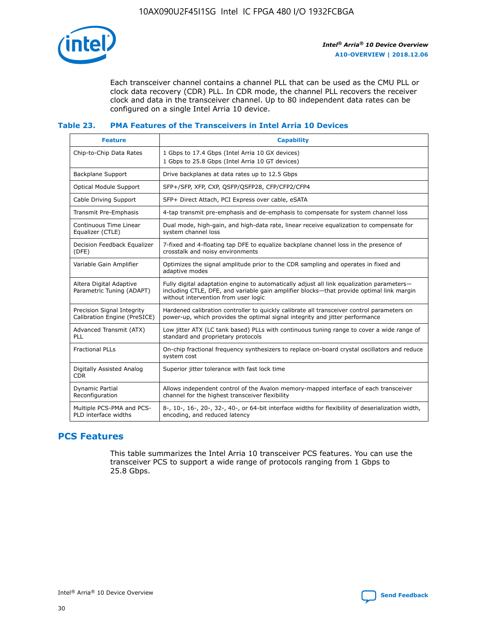

Each transceiver channel contains a channel PLL that can be used as the CMU PLL or clock data recovery (CDR) PLL. In CDR mode, the channel PLL recovers the receiver clock and data in the transceiver channel. Up to 80 independent data rates can be configured on a single Intel Arria 10 device.

#### **Table 23. PMA Features of the Transceivers in Intel Arria 10 Devices**

| <b>Feature</b>                                             | <b>Capability</b>                                                                                                                                                                                                             |
|------------------------------------------------------------|-------------------------------------------------------------------------------------------------------------------------------------------------------------------------------------------------------------------------------|
| Chip-to-Chip Data Rates                                    | 1 Gbps to 17.4 Gbps (Intel Arria 10 GX devices)<br>1 Gbps to 25.8 Gbps (Intel Arria 10 GT devices)                                                                                                                            |
| <b>Backplane Support</b>                                   | Drive backplanes at data rates up to 12.5 Gbps                                                                                                                                                                                |
| <b>Optical Module Support</b>                              | SFP+/SFP, XFP, CXP, QSFP/QSFP28, CFP/CFP2/CFP4                                                                                                                                                                                |
| Cable Driving Support                                      | SFP+ Direct Attach, PCI Express over cable, eSATA                                                                                                                                                                             |
| Transmit Pre-Emphasis                                      | 4-tap transmit pre-emphasis and de-emphasis to compensate for system channel loss                                                                                                                                             |
| Continuous Time Linear<br>Equalizer (CTLE)                 | Dual mode, high-gain, and high-data rate, linear receive equalization to compensate for<br>system channel loss                                                                                                                |
| Decision Feedback Equalizer<br>(DFE)                       | 7-fixed and 4-floating tap DFE to equalize backplane channel loss in the presence of<br>crosstalk and noisy environments                                                                                                      |
| Variable Gain Amplifier                                    | Optimizes the signal amplitude prior to the CDR sampling and operates in fixed and<br>adaptive modes                                                                                                                          |
| Altera Digital Adaptive<br>Parametric Tuning (ADAPT)       | Fully digital adaptation engine to automatically adjust all link equalization parameters-<br>including CTLE, DFE, and variable gain amplifier blocks—that provide optimal link margin<br>without intervention from user logic |
| Precision Signal Integrity<br>Calibration Engine (PreSICE) | Hardened calibration controller to quickly calibrate all transceiver control parameters on<br>power-up, which provides the optimal signal integrity and jitter performance                                                    |
| Advanced Transmit (ATX)<br><b>PLL</b>                      | Low jitter ATX (LC tank based) PLLs with continuous tuning range to cover a wide range of<br>standard and proprietary protocols                                                                                               |
| <b>Fractional PLLs</b>                                     | On-chip fractional frequency synthesizers to replace on-board crystal oscillators and reduce<br>system cost                                                                                                                   |
| Digitally Assisted Analog<br><b>CDR</b>                    | Superior jitter tolerance with fast lock time                                                                                                                                                                                 |
| Dynamic Partial<br>Reconfiguration                         | Allows independent control of the Avalon memory-mapped interface of each transceiver<br>channel for the highest transceiver flexibility                                                                                       |
| Multiple PCS-PMA and PCS-<br>PLD interface widths          | 8-, 10-, 16-, 20-, 32-, 40-, or 64-bit interface widths for flexibility of deserialization width,<br>encoding, and reduced latency                                                                                            |

## **PCS Features**

This table summarizes the Intel Arria 10 transceiver PCS features. You can use the transceiver PCS to support a wide range of protocols ranging from 1 Gbps to 25.8 Gbps.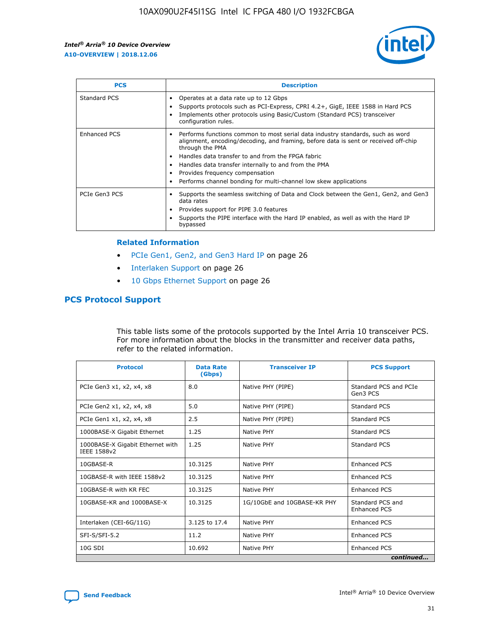

| <b>PCS</b>    | <b>Description</b>                                                                                                                                                                                                                                                                                                                                                                                             |
|---------------|----------------------------------------------------------------------------------------------------------------------------------------------------------------------------------------------------------------------------------------------------------------------------------------------------------------------------------------------------------------------------------------------------------------|
| Standard PCS  | Operates at a data rate up to 12 Gbps<br>Supports protocols such as PCI-Express, CPRI 4.2+, GigE, IEEE 1588 in Hard PCS<br>Implements other protocols using Basic/Custom (Standard PCS) transceiver<br>configuration rules.                                                                                                                                                                                    |
| Enhanced PCS  | Performs functions common to most serial data industry standards, such as word<br>alignment, encoding/decoding, and framing, before data is sent or received off-chip<br>through the PMA<br>• Handles data transfer to and from the FPGA fabric<br>Handles data transfer internally to and from the PMA<br>Provides frequency compensation<br>Performs channel bonding for multi-channel low skew applications |
| PCIe Gen3 PCS | Supports the seamless switching of Data and Clock between the Gen1, Gen2, and Gen3<br>data rates<br>Provides support for PIPE 3.0 features<br>Supports the PIPE interface with the Hard IP enabled, as well as with the Hard IP<br>bypassed                                                                                                                                                                    |

#### **Related Information**

- PCIe Gen1, Gen2, and Gen3 Hard IP on page 26
- Interlaken Support on page 26
- 10 Gbps Ethernet Support on page 26

## **PCS Protocol Support**

This table lists some of the protocols supported by the Intel Arria 10 transceiver PCS. For more information about the blocks in the transmitter and receiver data paths, refer to the related information.

| <b>Protocol</b>                                 | <b>Data Rate</b><br>(Gbps) | <b>Transceiver IP</b>       | <b>PCS Support</b>                      |
|-------------------------------------------------|----------------------------|-----------------------------|-----------------------------------------|
| PCIe Gen3 x1, x2, x4, x8                        | 8.0                        | Native PHY (PIPE)           | Standard PCS and PCIe<br>Gen3 PCS       |
| PCIe Gen2 x1, x2, x4, x8                        | 5.0                        | Native PHY (PIPE)           | <b>Standard PCS</b>                     |
| PCIe Gen1 x1, x2, x4, x8                        | 2.5                        | Native PHY (PIPE)           | Standard PCS                            |
| 1000BASE-X Gigabit Ethernet                     | 1.25                       | Native PHY                  | <b>Standard PCS</b>                     |
| 1000BASE-X Gigabit Ethernet with<br>IEEE 1588v2 | 1.25                       | Native PHY                  | Standard PCS                            |
| 10GBASE-R                                       | 10.3125                    | Native PHY                  | <b>Enhanced PCS</b>                     |
| 10GBASE-R with IEEE 1588v2                      | 10.3125                    | Native PHY                  | <b>Enhanced PCS</b>                     |
| 10GBASE-R with KR FEC                           | 10.3125                    | Native PHY                  | <b>Enhanced PCS</b>                     |
| 10GBASE-KR and 1000BASE-X                       | 10.3125                    | 1G/10GbE and 10GBASE-KR PHY | Standard PCS and<br><b>Enhanced PCS</b> |
| Interlaken (CEI-6G/11G)                         | 3.125 to 17.4              | Native PHY                  | <b>Enhanced PCS</b>                     |
| SFI-S/SFI-5.2                                   | 11.2                       | Native PHY                  | <b>Enhanced PCS</b>                     |
| $10G$ SDI                                       | 10.692                     | Native PHY                  | <b>Enhanced PCS</b>                     |
|                                                 |                            |                             | continued                               |

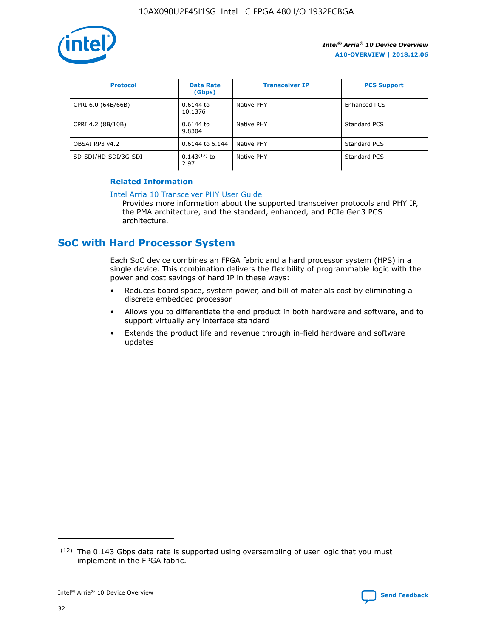

| <b>Protocol</b>      | <b>Data Rate</b><br>(Gbps) | <b>Transceiver IP</b> | <b>PCS Support</b> |
|----------------------|----------------------------|-----------------------|--------------------|
| CPRI 6.0 (64B/66B)   | 0.6144 to<br>10.1376       | Native PHY            | Enhanced PCS       |
| CPRI 4.2 (8B/10B)    | $0.6144$ to<br>9.8304      | Native PHY            | Standard PCS       |
| OBSAI RP3 v4.2       | 0.6144 to 6.144            | Native PHY            | Standard PCS       |
| SD-SDI/HD-SDI/3G-SDI | $0.143(12)$ to<br>2.97     | Native PHY            | Standard PCS       |

## **Related Information**

#### [Intel Arria 10 Transceiver PHY User Guide](https://www.intel.com/content/www/us/en/programmable/documentation/nik1398707230472.html#nik1398707091164)

Provides more information about the supported transceiver protocols and PHY IP, the PMA architecture, and the standard, enhanced, and PCIe Gen3 PCS architecture.

## **SoC with Hard Processor System**

Each SoC device combines an FPGA fabric and a hard processor system (HPS) in a single device. This combination delivers the flexibility of programmable logic with the power and cost savings of hard IP in these ways:

- Reduces board space, system power, and bill of materials cost by eliminating a discrete embedded processor
- Allows you to differentiate the end product in both hardware and software, and to support virtually any interface standard
- Extends the product life and revenue through in-field hardware and software updates

 $(12)$  The 0.143 Gbps data rate is supported using oversampling of user logic that you must implement in the FPGA fabric.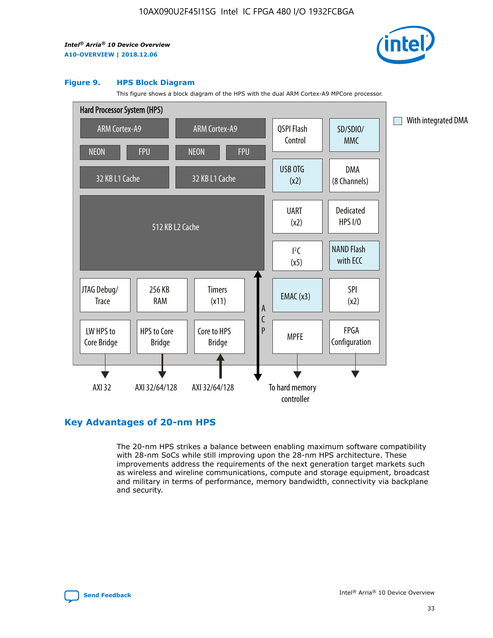

#### **Figure 9. HPS Block Diagram**

This figure shows a block diagram of the HPS with the dual ARM Cortex-A9 MPCore processor.



## **Key Advantages of 20-nm HPS**

The 20-nm HPS strikes a balance between enabling maximum software compatibility with 28-nm SoCs while still improving upon the 28-nm HPS architecture. These improvements address the requirements of the next generation target markets such as wireless and wireline communications, compute and storage equipment, broadcast and military in terms of performance, memory bandwidth, connectivity via backplane and security.

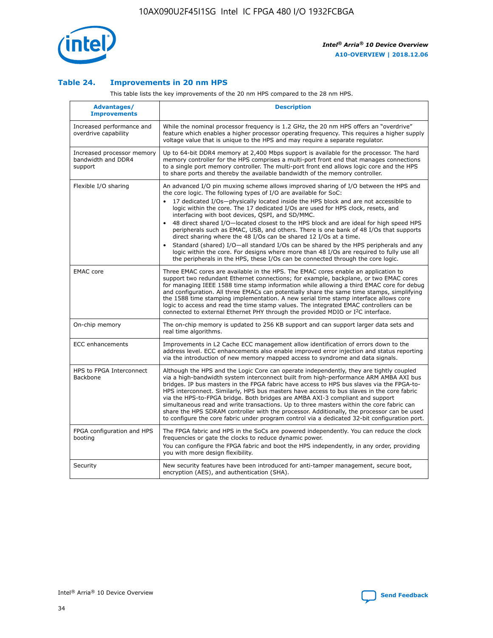

## **Table 24. Improvements in 20 nm HPS**

This table lists the key improvements of the 20 nm HPS compared to the 28 nm HPS.

| Advantages/<br><b>Improvements</b>                          | <b>Description</b>                                                                                                                                                                                                                                                                                                                                                                                                                                                                                                                                                                                                                                                                                                                                                                                                                                                                                                      |
|-------------------------------------------------------------|-------------------------------------------------------------------------------------------------------------------------------------------------------------------------------------------------------------------------------------------------------------------------------------------------------------------------------------------------------------------------------------------------------------------------------------------------------------------------------------------------------------------------------------------------------------------------------------------------------------------------------------------------------------------------------------------------------------------------------------------------------------------------------------------------------------------------------------------------------------------------------------------------------------------------|
| Increased performance and<br>overdrive capability           | While the nominal processor frequency is 1.2 GHz, the 20 nm HPS offers an "overdrive"<br>feature which enables a higher processor operating frequency. This requires a higher supply<br>voltage value that is unique to the HPS and may require a separate regulator.                                                                                                                                                                                                                                                                                                                                                                                                                                                                                                                                                                                                                                                   |
| Increased processor memory<br>bandwidth and DDR4<br>support | Up to 64-bit DDR4 memory at 2,400 Mbps support is available for the processor. The hard<br>memory controller for the HPS comprises a multi-port front end that manages connections<br>to a single port memory controller. The multi-port front end allows logic core and the HPS<br>to share ports and thereby the available bandwidth of the memory controller.                                                                                                                                                                                                                                                                                                                                                                                                                                                                                                                                                        |
| Flexible I/O sharing                                        | An advanced I/O pin muxing scheme allows improved sharing of I/O between the HPS and<br>the core logic. The following types of I/O are available for SoC:<br>17 dedicated I/Os-physically located inside the HPS block and are not accessible to<br>logic within the core. The 17 dedicated I/Os are used for HPS clock, resets, and<br>interfacing with boot devices, QSPI, and SD/MMC.<br>48 direct shared I/O-located closest to the HPS block and are ideal for high speed HPS<br>peripherals such as EMAC, USB, and others. There is one bank of 48 I/Os that supports<br>direct sharing where the 48 I/Os can be shared 12 I/Os at a time.<br>Standard (shared) I/O-all standard I/Os can be shared by the HPS peripherals and any<br>logic within the core. For designs where more than 48 I/Os are reguired to fully use all<br>the peripherals in the HPS, these I/Os can be connected through the core logic. |
| <b>EMAC</b> core                                            | Three EMAC cores are available in the HPS. The EMAC cores enable an application to<br>support two redundant Ethernet connections; for example, backplane, or two EMAC cores<br>for managing IEEE 1588 time stamp information while allowing a third EMAC core for debug<br>and configuration. All three EMACs can potentially share the same time stamps, simplifying<br>the 1588 time stamping implementation. A new serial time stamp interface allows core<br>logic to access and read the time stamp values. The integrated EMAC controllers can be<br>connected to external Ethernet PHY through the provided MDIO or I <sup>2</sup> C interface.                                                                                                                                                                                                                                                                  |
| On-chip memory                                              | The on-chip memory is updated to 256 KB support and can support larger data sets and<br>real time algorithms.                                                                                                                                                                                                                                                                                                                                                                                                                                                                                                                                                                                                                                                                                                                                                                                                           |
| <b>ECC</b> enhancements                                     | Improvements in L2 Cache ECC management allow identification of errors down to the<br>address level. ECC enhancements also enable improved error injection and status reporting<br>via the introduction of new memory mapped access to syndrome and data signals.                                                                                                                                                                                                                                                                                                                                                                                                                                                                                                                                                                                                                                                       |
| HPS to FPGA Interconnect<br>Backbone                        | Although the HPS and the Logic Core can operate independently, they are tightly coupled<br>via a high-bandwidth system interconnect built from high-performance ARM AMBA AXI bus<br>bridges. IP bus masters in the FPGA fabric have access to HPS bus slaves via the FPGA-to-<br>HPS interconnect. Similarly, HPS bus masters have access to bus slaves in the core fabric<br>via the HPS-to-FPGA bridge. Both bridges are AMBA AXI-3 compliant and support<br>simultaneous read and write transactions. Up to three masters within the core fabric can<br>share the HPS SDRAM controller with the processor. Additionally, the processor can be used<br>to configure the core fabric under program control via a dedicated 32-bit configuration port.                                                                                                                                                                  |
| FPGA configuration and HPS<br>booting                       | The FPGA fabric and HPS in the SoCs are powered independently. You can reduce the clock<br>frequencies or gate the clocks to reduce dynamic power.<br>You can configure the FPGA fabric and boot the HPS independently, in any order, providing<br>you with more design flexibility.                                                                                                                                                                                                                                                                                                                                                                                                                                                                                                                                                                                                                                    |
| Security                                                    | New security features have been introduced for anti-tamper management, secure boot,<br>encryption (AES), and authentication (SHA).                                                                                                                                                                                                                                                                                                                                                                                                                                                                                                                                                                                                                                                                                                                                                                                      |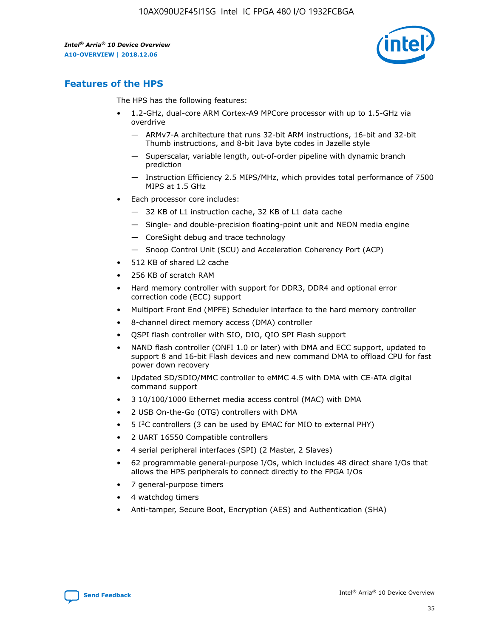

## **Features of the HPS**

The HPS has the following features:

- 1.2-GHz, dual-core ARM Cortex-A9 MPCore processor with up to 1.5-GHz via overdrive
	- ARMv7-A architecture that runs 32-bit ARM instructions, 16-bit and 32-bit Thumb instructions, and 8-bit Java byte codes in Jazelle style
	- Superscalar, variable length, out-of-order pipeline with dynamic branch prediction
	- Instruction Efficiency 2.5 MIPS/MHz, which provides total performance of 7500 MIPS at 1.5 GHz
- Each processor core includes:
	- 32 KB of L1 instruction cache, 32 KB of L1 data cache
	- Single- and double-precision floating-point unit and NEON media engine
	- CoreSight debug and trace technology
	- Snoop Control Unit (SCU) and Acceleration Coherency Port (ACP)
- 512 KB of shared L2 cache
- 256 KB of scratch RAM
- Hard memory controller with support for DDR3, DDR4 and optional error correction code (ECC) support
- Multiport Front End (MPFE) Scheduler interface to the hard memory controller
- 8-channel direct memory access (DMA) controller
- QSPI flash controller with SIO, DIO, QIO SPI Flash support
- NAND flash controller (ONFI 1.0 or later) with DMA and ECC support, updated to support 8 and 16-bit Flash devices and new command DMA to offload CPU for fast power down recovery
- Updated SD/SDIO/MMC controller to eMMC 4.5 with DMA with CE-ATA digital command support
- 3 10/100/1000 Ethernet media access control (MAC) with DMA
- 2 USB On-the-Go (OTG) controllers with DMA
- $\bullet$  5 I<sup>2</sup>C controllers (3 can be used by EMAC for MIO to external PHY)
- 2 UART 16550 Compatible controllers
- 4 serial peripheral interfaces (SPI) (2 Master, 2 Slaves)
- 62 programmable general-purpose I/Os, which includes 48 direct share I/Os that allows the HPS peripherals to connect directly to the FPGA I/Os
- 7 general-purpose timers
- 4 watchdog timers
- Anti-tamper, Secure Boot, Encryption (AES) and Authentication (SHA)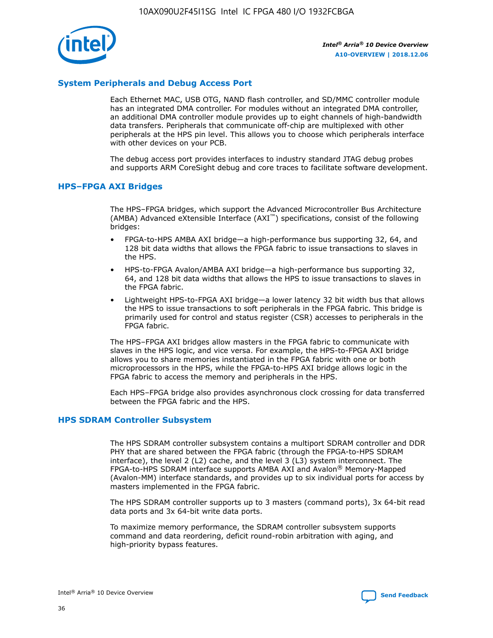

## **System Peripherals and Debug Access Port**

Each Ethernet MAC, USB OTG, NAND flash controller, and SD/MMC controller module has an integrated DMA controller. For modules without an integrated DMA controller, an additional DMA controller module provides up to eight channels of high-bandwidth data transfers. Peripherals that communicate off-chip are multiplexed with other peripherals at the HPS pin level. This allows you to choose which peripherals interface with other devices on your PCB.

The debug access port provides interfaces to industry standard JTAG debug probes and supports ARM CoreSight debug and core traces to facilitate software development.

## **HPS–FPGA AXI Bridges**

The HPS–FPGA bridges, which support the Advanced Microcontroller Bus Architecture (AMBA) Advanced eXtensible Interface (AXI™) specifications, consist of the following bridges:

- FPGA-to-HPS AMBA AXI bridge—a high-performance bus supporting 32, 64, and 128 bit data widths that allows the FPGA fabric to issue transactions to slaves in the HPS.
- HPS-to-FPGA Avalon/AMBA AXI bridge—a high-performance bus supporting 32, 64, and 128 bit data widths that allows the HPS to issue transactions to slaves in the FPGA fabric.
- Lightweight HPS-to-FPGA AXI bridge—a lower latency 32 bit width bus that allows the HPS to issue transactions to soft peripherals in the FPGA fabric. This bridge is primarily used for control and status register (CSR) accesses to peripherals in the FPGA fabric.

The HPS–FPGA AXI bridges allow masters in the FPGA fabric to communicate with slaves in the HPS logic, and vice versa. For example, the HPS-to-FPGA AXI bridge allows you to share memories instantiated in the FPGA fabric with one or both microprocessors in the HPS, while the FPGA-to-HPS AXI bridge allows logic in the FPGA fabric to access the memory and peripherals in the HPS.

Each HPS–FPGA bridge also provides asynchronous clock crossing for data transferred between the FPGA fabric and the HPS.

#### **HPS SDRAM Controller Subsystem**

The HPS SDRAM controller subsystem contains a multiport SDRAM controller and DDR PHY that are shared between the FPGA fabric (through the FPGA-to-HPS SDRAM interface), the level 2 (L2) cache, and the level 3 (L3) system interconnect. The FPGA-to-HPS SDRAM interface supports AMBA AXI and Avalon® Memory-Mapped (Avalon-MM) interface standards, and provides up to six individual ports for access by masters implemented in the FPGA fabric.

The HPS SDRAM controller supports up to 3 masters (command ports), 3x 64-bit read data ports and 3x 64-bit write data ports.

To maximize memory performance, the SDRAM controller subsystem supports command and data reordering, deficit round-robin arbitration with aging, and high-priority bypass features.

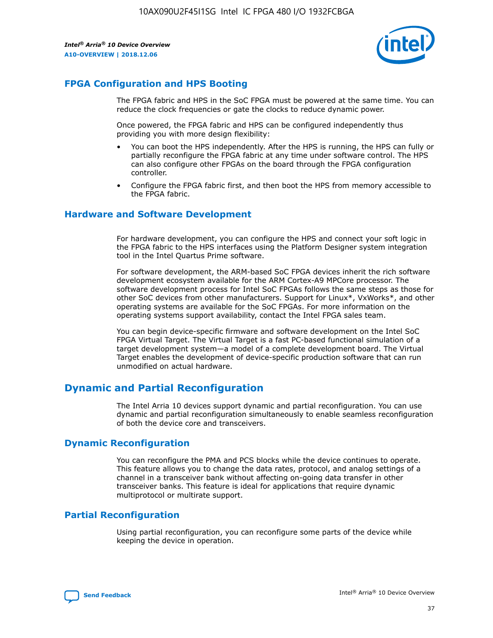

## **FPGA Configuration and HPS Booting**

The FPGA fabric and HPS in the SoC FPGA must be powered at the same time. You can reduce the clock frequencies or gate the clocks to reduce dynamic power.

Once powered, the FPGA fabric and HPS can be configured independently thus providing you with more design flexibility:

- You can boot the HPS independently. After the HPS is running, the HPS can fully or partially reconfigure the FPGA fabric at any time under software control. The HPS can also configure other FPGAs on the board through the FPGA configuration controller.
- Configure the FPGA fabric first, and then boot the HPS from memory accessible to the FPGA fabric.

## **Hardware and Software Development**

For hardware development, you can configure the HPS and connect your soft logic in the FPGA fabric to the HPS interfaces using the Platform Designer system integration tool in the Intel Quartus Prime software.

For software development, the ARM-based SoC FPGA devices inherit the rich software development ecosystem available for the ARM Cortex-A9 MPCore processor. The software development process for Intel SoC FPGAs follows the same steps as those for other SoC devices from other manufacturers. Support for Linux\*, VxWorks\*, and other operating systems are available for the SoC FPGAs. For more information on the operating systems support availability, contact the Intel FPGA sales team.

You can begin device-specific firmware and software development on the Intel SoC FPGA Virtual Target. The Virtual Target is a fast PC-based functional simulation of a target development system—a model of a complete development board. The Virtual Target enables the development of device-specific production software that can run unmodified on actual hardware.

## **Dynamic and Partial Reconfiguration**

The Intel Arria 10 devices support dynamic and partial reconfiguration. You can use dynamic and partial reconfiguration simultaneously to enable seamless reconfiguration of both the device core and transceivers.

## **Dynamic Reconfiguration**

You can reconfigure the PMA and PCS blocks while the device continues to operate. This feature allows you to change the data rates, protocol, and analog settings of a channel in a transceiver bank without affecting on-going data transfer in other transceiver banks. This feature is ideal for applications that require dynamic multiprotocol or multirate support.

## **Partial Reconfiguration**

Using partial reconfiguration, you can reconfigure some parts of the device while keeping the device in operation.

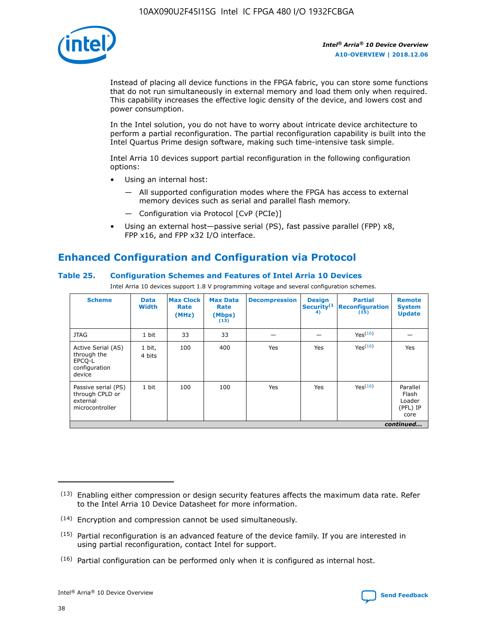

Instead of placing all device functions in the FPGA fabric, you can store some functions that do not run simultaneously in external memory and load them only when required. This capability increases the effective logic density of the device, and lowers cost and power consumption.

In the Intel solution, you do not have to worry about intricate device architecture to perform a partial reconfiguration. The partial reconfiguration capability is built into the Intel Quartus Prime design software, making such time-intensive task simple.

Intel Arria 10 devices support partial reconfiguration in the following configuration options:

- Using an internal host:
	- All supported configuration modes where the FPGA has access to external memory devices such as serial and parallel flash memory.
	- Configuration via Protocol [CvP (PCIe)]
- Using an external host—passive serial (PS), fast passive parallel (FPP) x8, FPP x16, and FPP x32 I/O interface.

# **Enhanced Configuration and Configuration via Protocol**

## **Table 25. Configuration Schemes and Features of Intel Arria 10 Devices**

Intel Arria 10 devices support 1.8 V programming voltage and several configuration schemes.

| <b>Scheme</b>                                                          | <b>Data</b><br><b>Width</b> | <b>Max Clock</b><br>Rate<br>(MHz) | <b>Max Data</b><br>Rate<br>(Mbps)<br>(13) | <b>Decompression</b> | <b>Design</b><br>Security <sup>(1</sup><br>4) | <b>Partial</b><br>Reconfiguration<br>(15) | <b>Remote</b><br><b>System</b><br><b>Update</b> |
|------------------------------------------------------------------------|-----------------------------|-----------------------------------|-------------------------------------------|----------------------|-----------------------------------------------|-------------------------------------------|-------------------------------------------------|
| <b>JTAG</b>                                                            | 1 bit                       | 33                                | 33                                        |                      |                                               | Yes(16)                                   |                                                 |
| Active Serial (AS)<br>through the<br>EPCO-L<br>configuration<br>device | 1 bit,<br>4 bits            | 100                               | 400                                       | Yes                  | Yes                                           | Yes(16)                                   | Yes                                             |
| Passive serial (PS)<br>through CPLD or<br>external<br>microcontroller  | 1 bit                       | 100                               | 100                                       | Yes                  | Yes                                           | Yes <sup>(16)</sup>                       | Parallel<br>Flash<br>Loader<br>(PFL) IP<br>core |
|                                                                        |                             |                                   |                                           |                      |                                               |                                           | continued                                       |

<sup>(13)</sup> Enabling either compression or design security features affects the maximum data rate. Refer to the Intel Arria 10 Device Datasheet for more information.

<sup>(14)</sup> Encryption and compression cannot be used simultaneously.

 $(15)$  Partial reconfiguration is an advanced feature of the device family. If you are interested in using partial reconfiguration, contact Intel for support.

 $(16)$  Partial configuration can be performed only when it is configured as internal host.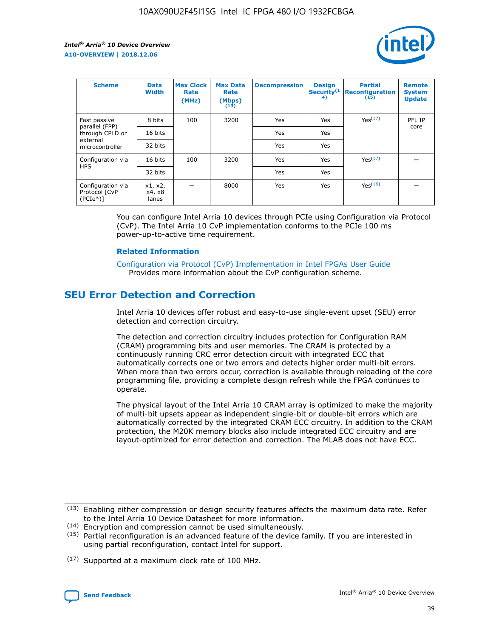

| <b>Scheme</b>                                   | <b>Data</b><br><b>Width</b> | <b>Max Clock</b><br>Rate<br>(MHz) | <b>Max Data</b><br>Rate<br>(Mbps)<br>(13) | <b>Decompression</b> | <b>Design</b><br>Security <sup>(1</sup><br>4) | <b>Partial</b><br><b>Reconfiguration</b><br>(15) | <b>Remote</b><br><b>System</b><br><b>Update</b> |
|-------------------------------------------------|-----------------------------|-----------------------------------|-------------------------------------------|----------------------|-----------------------------------------------|--------------------------------------------------|-------------------------------------------------|
| Fast passive                                    | 8 bits                      | 100                               | 3200                                      | Yes                  | Yes                                           | Yes <sup>(17)</sup>                              | PFL IP                                          |
| parallel (FPP)<br>through CPLD or               | 16 bits                     |                                   |                                           | Yes                  | Yes                                           |                                                  | core                                            |
| external<br>microcontroller                     | 32 bits                     |                                   |                                           | Yes                  | Yes                                           |                                                  |                                                 |
| Configuration via                               | 16 bits                     | 100                               | 3200                                      | Yes                  | Yes                                           | Yes <sup>(17)</sup>                              |                                                 |
| <b>HPS</b>                                      | 32 bits                     |                                   |                                           | Yes                  | Yes                                           |                                                  |                                                 |
| Configuration via<br>Protocol [CvP<br>$(PCIe*)$ | x1, x2,<br>x4, x8<br>lanes  |                                   | 8000                                      | Yes                  | Yes                                           | Yes <sup>(16)</sup>                              |                                                 |

You can configure Intel Arria 10 devices through PCIe using Configuration via Protocol (CvP). The Intel Arria 10 CvP implementation conforms to the PCIe 100 ms power-up-to-active time requirement.

#### **Related Information**

[Configuration via Protocol \(CvP\) Implementation in Intel FPGAs User Guide](https://www.intel.com/content/www/us/en/programmable/documentation/dsu1441819344145.html#dsu1442269728522) Provides more information about the CvP configuration scheme.

## **SEU Error Detection and Correction**

Intel Arria 10 devices offer robust and easy-to-use single-event upset (SEU) error detection and correction circuitry.

The detection and correction circuitry includes protection for Configuration RAM (CRAM) programming bits and user memories. The CRAM is protected by a continuously running CRC error detection circuit with integrated ECC that automatically corrects one or two errors and detects higher order multi-bit errors. When more than two errors occur, correction is available through reloading of the core programming file, providing a complete design refresh while the FPGA continues to operate.

The physical layout of the Intel Arria 10 CRAM array is optimized to make the majority of multi-bit upsets appear as independent single-bit or double-bit errors which are automatically corrected by the integrated CRAM ECC circuitry. In addition to the CRAM protection, the M20K memory blocks also include integrated ECC circuitry and are layout-optimized for error detection and correction. The MLAB does not have ECC.

<sup>(17)</sup> Supported at a maximum clock rate of 100 MHz.



 $(13)$  Enabling either compression or design security features affects the maximum data rate. Refer to the Intel Arria 10 Device Datasheet for more information.

<sup>(14)</sup> Encryption and compression cannot be used simultaneously.

 $(15)$  Partial reconfiguration is an advanced feature of the device family. If you are interested in using partial reconfiguration, contact Intel for support.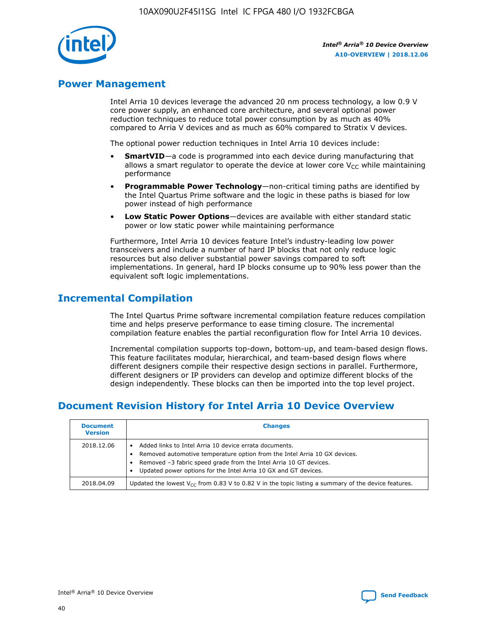

## **Power Management**

Intel Arria 10 devices leverage the advanced 20 nm process technology, a low 0.9 V core power supply, an enhanced core architecture, and several optional power reduction techniques to reduce total power consumption by as much as 40% compared to Arria V devices and as much as 60% compared to Stratix V devices.

The optional power reduction techniques in Intel Arria 10 devices include:

- **SmartVID**—a code is programmed into each device during manufacturing that allows a smart regulator to operate the device at lower core  $V_{CC}$  while maintaining performance
- **Programmable Power Technology**—non-critical timing paths are identified by the Intel Quartus Prime software and the logic in these paths is biased for low power instead of high performance
- **Low Static Power Options**—devices are available with either standard static power or low static power while maintaining performance

Furthermore, Intel Arria 10 devices feature Intel's industry-leading low power transceivers and include a number of hard IP blocks that not only reduce logic resources but also deliver substantial power savings compared to soft implementations. In general, hard IP blocks consume up to 90% less power than the equivalent soft logic implementations.

## **Incremental Compilation**

The Intel Quartus Prime software incremental compilation feature reduces compilation time and helps preserve performance to ease timing closure. The incremental compilation feature enables the partial reconfiguration flow for Intel Arria 10 devices.

Incremental compilation supports top-down, bottom-up, and team-based design flows. This feature facilitates modular, hierarchical, and team-based design flows where different designers compile their respective design sections in parallel. Furthermore, different designers or IP providers can develop and optimize different blocks of the design independently. These blocks can then be imported into the top level project.

## **Document Revision History for Intel Arria 10 Device Overview**

| <b>Document</b><br><b>Version</b> | <b>Changes</b>                                                                                                                                                                                                                                                              |
|-----------------------------------|-----------------------------------------------------------------------------------------------------------------------------------------------------------------------------------------------------------------------------------------------------------------------------|
| 2018.12.06                        | Added links to Intel Arria 10 device errata documents.<br>Removed automotive temperature option from the Intel Arria 10 GX devices.<br>Removed -3 fabric speed grade from the Intel Arria 10 GT devices.<br>Updated power options for the Intel Arria 10 GX and GT devices. |
| 2018.04.09                        | Updated the lowest $V_{CC}$ from 0.83 V to 0.82 V in the topic listing a summary of the device features.                                                                                                                                                                    |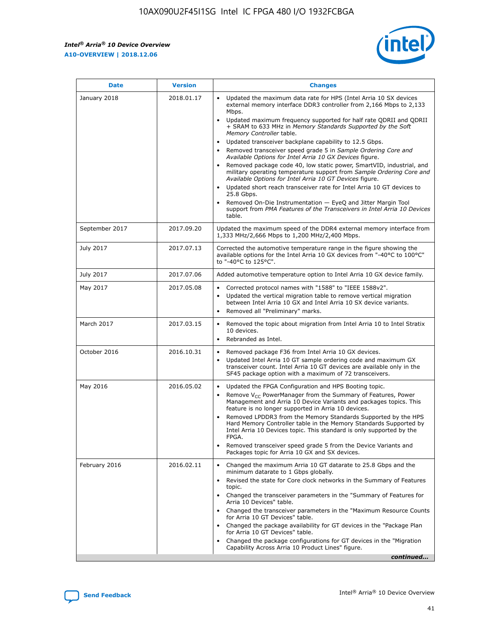*Intel® Arria® 10 Device Overview* **A10-OVERVIEW | 2018.12.06**



| <b>Date</b>    | <b>Version</b> | <b>Changes</b>                                                                                                                                                                                                                                                                                                                                                                                                                                                                                                                                                                                                                                                                                                                                                                                                                                                                                                                                                            |
|----------------|----------------|---------------------------------------------------------------------------------------------------------------------------------------------------------------------------------------------------------------------------------------------------------------------------------------------------------------------------------------------------------------------------------------------------------------------------------------------------------------------------------------------------------------------------------------------------------------------------------------------------------------------------------------------------------------------------------------------------------------------------------------------------------------------------------------------------------------------------------------------------------------------------------------------------------------------------------------------------------------------------|
| January 2018   | 2018.01.17     | Updated the maximum data rate for HPS (Intel Arria 10 SX devices<br>external memory interface DDR3 controller from 2,166 Mbps to 2,133<br>Mbps.<br>Updated maximum frequency supported for half rate QDRII and QDRII<br>+ SRAM to 633 MHz in Memory Standards Supported by the Soft<br>Memory Controller table.<br>Updated transceiver backplane capability to 12.5 Gbps.<br>$\bullet$<br>Removed transceiver speed grade 5 in Sample Ordering Core and<br>Available Options for Intel Arria 10 GX Devices figure.<br>Removed package code 40, low static power, SmartVID, industrial, and<br>military operating temperature support from Sample Ordering Core and<br>Available Options for Intel Arria 10 GT Devices figure.<br>Updated short reach transceiver rate for Intel Arria 10 GT devices to<br>25.8 Gbps.<br>Removed On-Die Instrumentation - EyeQ and Jitter Margin Tool<br>support from PMA Features of the Transceivers in Intel Arria 10 Devices<br>table. |
| September 2017 | 2017.09.20     | Updated the maximum speed of the DDR4 external memory interface from<br>1,333 MHz/2,666 Mbps to 1,200 MHz/2,400 Mbps.                                                                                                                                                                                                                                                                                                                                                                                                                                                                                                                                                                                                                                                                                                                                                                                                                                                     |
| July 2017      | 2017.07.13     | Corrected the automotive temperature range in the figure showing the<br>available options for the Intel Arria 10 GX devices from "-40°C to 100°C"<br>to "-40°C to 125°C".                                                                                                                                                                                                                                                                                                                                                                                                                                                                                                                                                                                                                                                                                                                                                                                                 |
| July 2017      | 2017.07.06     | Added automotive temperature option to Intel Arria 10 GX device family.                                                                                                                                                                                                                                                                                                                                                                                                                                                                                                                                                                                                                                                                                                                                                                                                                                                                                                   |
| May 2017       | 2017.05.08     | Corrected protocol names with "1588" to "IEEE 1588v2".<br>Updated the vertical migration table to remove vertical migration<br>between Intel Arria 10 GX and Intel Arria 10 SX device variants.<br>Removed all "Preliminary" marks.                                                                                                                                                                                                                                                                                                                                                                                                                                                                                                                                                                                                                                                                                                                                       |
| March 2017     | 2017.03.15     | Removed the topic about migration from Intel Arria 10 to Intel Stratix<br>10 devices.<br>Rebranded as Intel.<br>$\bullet$                                                                                                                                                                                                                                                                                                                                                                                                                                                                                                                                                                                                                                                                                                                                                                                                                                                 |
| October 2016   | 2016.10.31     | Removed package F36 from Intel Arria 10 GX devices.<br>Updated Intel Arria 10 GT sample ordering code and maximum GX<br>$\bullet$<br>transceiver count. Intel Arria 10 GT devices are available only in the<br>SF45 package option with a maximum of 72 transceivers.                                                                                                                                                                                                                                                                                                                                                                                                                                                                                                                                                                                                                                                                                                     |
| May 2016       | 2016.05.02     | Updated the FPGA Configuration and HPS Booting topic.<br>Remove V <sub>CC</sub> PowerManager from the Summary of Features, Power<br>Management and Arria 10 Device Variants and packages topics. This<br>feature is no longer supported in Arria 10 devices.<br>Removed LPDDR3 from the Memory Standards Supported by the HPS<br>Hard Memory Controller table in the Memory Standards Supported by<br>Intel Arria 10 Devices topic. This standard is only supported by the<br>FPGA.<br>Removed transceiver speed grade 5 from the Device Variants and<br>Packages topic for Arria 10 GX and SX devices.                                                                                                                                                                                                                                                                                                                                                                   |
| February 2016  | 2016.02.11     | Changed the maximum Arria 10 GT datarate to 25.8 Gbps and the<br>minimum datarate to 1 Gbps globally.<br>Revised the state for Core clock networks in the Summary of Features<br>$\bullet$<br>topic.<br>Changed the transceiver parameters in the "Summary of Features for<br>Arria 10 Devices" table.<br>• Changed the transceiver parameters in the "Maximum Resource Counts<br>for Arria 10 GT Devices" table.<br>• Changed the package availability for GT devices in the "Package Plan<br>for Arria 10 GT Devices" table.<br>Changed the package configurations for GT devices in the "Migration"<br>Capability Across Arria 10 Product Lines" figure.<br>continued                                                                                                                                                                                                                                                                                                  |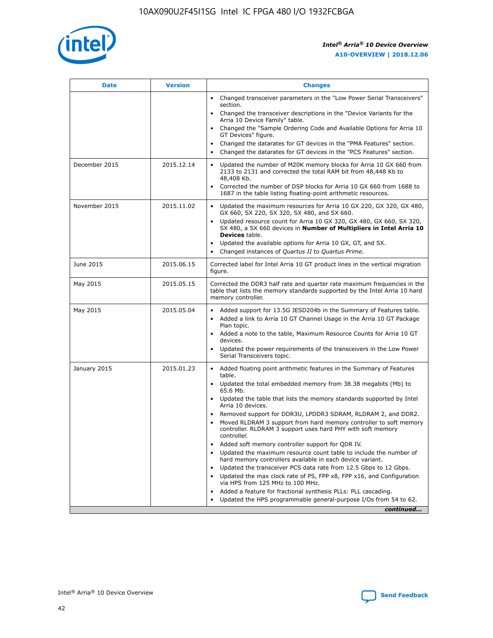

| <b>Date</b>   | <b>Version</b> | <b>Changes</b>                                                                                                                                                               |
|---------------|----------------|------------------------------------------------------------------------------------------------------------------------------------------------------------------------------|
|               |                | • Changed transceiver parameters in the "Low Power Serial Transceivers"<br>section.                                                                                          |
|               |                | • Changed the transceiver descriptions in the "Device Variants for the<br>Arria 10 Device Family" table.                                                                     |
|               |                | Changed the "Sample Ordering Code and Available Options for Arria 10<br>$\bullet$<br>GT Devices" figure.                                                                     |
|               |                | Changed the datarates for GT devices in the "PMA Features" section.                                                                                                          |
|               |                | Changed the datarates for GT devices in the "PCS Features" section.<br>$\bullet$                                                                                             |
| December 2015 | 2015.12.14     | Updated the number of M20K memory blocks for Arria 10 GX 660 from<br>2133 to 2131 and corrected the total RAM bit from 48,448 Kb to<br>48,408 Kb.                            |
|               |                | Corrected the number of DSP blocks for Arria 10 GX 660 from 1688 to<br>1687 in the table listing floating-point arithmetic resources.                                        |
| November 2015 | 2015.11.02     | Updated the maximum resources for Arria 10 GX 220, GX 320, GX 480,<br>$\bullet$<br>GX 660, SX 220, SX 320, SX 480, and SX 660.                                               |
|               |                | • Updated resource count for Arria 10 GX 320, GX 480, GX 660, SX 320,<br>SX 480, a SX 660 devices in Number of Multipliers in Intel Arria 10<br><b>Devices</b> table.        |
|               |                | Updated the available options for Arria 10 GX, GT, and SX.                                                                                                                   |
|               |                | Changed instances of Quartus II to Quartus Prime.<br>$\bullet$                                                                                                               |
| June 2015     | 2015.06.15     | Corrected label for Intel Arria 10 GT product lines in the vertical migration<br>figure.                                                                                     |
| May 2015      | 2015.05.15     | Corrected the DDR3 half rate and quarter rate maximum frequencies in the<br>table that lists the memory standards supported by the Intel Arria 10 hard<br>memory controller. |
| May 2015      | 2015.05.04     | • Added support for 13.5G JESD204b in the Summary of Features table.<br>• Added a link to Arria 10 GT Channel Usage in the Arria 10 GT Package<br>Plan topic.                |
|               |                | • Added a note to the table, Maximum Resource Counts for Arria 10 GT<br>devices.                                                                                             |
|               |                | • Updated the power requirements of the transceivers in the Low Power<br>Serial Transceivers topic.                                                                          |
| January 2015  | 2015.01.23     | • Added floating point arithmetic features in the Summary of Features<br>table.                                                                                              |
|               |                | • Updated the total embedded memory from 38.38 megabits (Mb) to<br>65.6 Mb.                                                                                                  |
|               |                | • Updated the table that lists the memory standards supported by Intel<br>Arria 10 devices.                                                                                  |
|               |                | Removed support for DDR3U, LPDDR3 SDRAM, RLDRAM 2, and DDR2.                                                                                                                 |
|               |                | Moved RLDRAM 3 support from hard memory controller to soft memory<br>controller. RLDRAM 3 support uses hard PHY with soft memory<br>controller.                              |
|               |                | Added soft memory controller support for QDR IV.<br>٠                                                                                                                        |
|               |                | Updated the maximum resource count table to include the number of<br>hard memory controllers available in each device variant.                                               |
|               |                | Updated the transceiver PCS data rate from 12.5 Gbps to 12 Gbps.<br>$\bullet$                                                                                                |
|               |                | Updated the max clock rate of PS, FPP x8, FPP x16, and Configuration<br>via HPS from 125 MHz to 100 MHz.                                                                     |
|               |                | Added a feature for fractional synthesis PLLs: PLL cascading.                                                                                                                |
|               |                | Updated the HPS programmable general-purpose I/Os from 54 to 62.<br>$\bullet$<br>continued                                                                                   |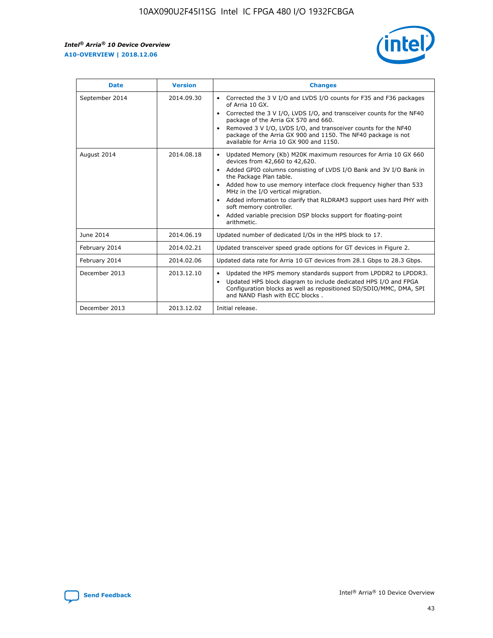r



| <b>Date</b>    | <b>Version</b> | <b>Changes</b>                                                                                                                                                                                                                                                                                                                                                                                                                                                                                                                                      |
|----------------|----------------|-----------------------------------------------------------------------------------------------------------------------------------------------------------------------------------------------------------------------------------------------------------------------------------------------------------------------------------------------------------------------------------------------------------------------------------------------------------------------------------------------------------------------------------------------------|
| September 2014 | 2014.09.30     | Corrected the 3 V I/O and LVDS I/O counts for F35 and F36 packages<br>$\bullet$<br>of Arria 10 GX.<br>Corrected the 3 V I/O, LVDS I/O, and transceiver counts for the NF40<br>$\bullet$<br>package of the Arria GX 570 and 660.<br>Removed 3 V I/O, LVDS I/O, and transceiver counts for the NF40<br>$\bullet$<br>package of the Arria GX 900 and 1150. The NF40 package is not<br>available for Arria 10 GX 900 and 1150.                                                                                                                          |
| August 2014    | 2014.08.18     | Updated Memory (Kb) M20K maximum resources for Arria 10 GX 660<br>devices from 42,660 to 42,620.<br>Added GPIO columns consisting of LVDS I/O Bank and 3V I/O Bank in<br>$\bullet$<br>the Package Plan table.<br>Added how to use memory interface clock frequency higher than 533<br>$\bullet$<br>MHz in the I/O vertical migration.<br>Added information to clarify that RLDRAM3 support uses hard PHY with<br>$\bullet$<br>soft memory controller.<br>Added variable precision DSP blocks support for floating-point<br>$\bullet$<br>arithmetic. |
| June 2014      | 2014.06.19     | Updated number of dedicated I/Os in the HPS block to 17.                                                                                                                                                                                                                                                                                                                                                                                                                                                                                            |
| February 2014  | 2014.02.21     | Updated transceiver speed grade options for GT devices in Figure 2.                                                                                                                                                                                                                                                                                                                                                                                                                                                                                 |
| February 2014  | 2014.02.06     | Updated data rate for Arria 10 GT devices from 28.1 Gbps to 28.3 Gbps.                                                                                                                                                                                                                                                                                                                                                                                                                                                                              |
| December 2013  | 2013.12.10     | Updated the HPS memory standards support from LPDDR2 to LPDDR3.<br>Updated HPS block diagram to include dedicated HPS I/O and FPGA<br>$\bullet$<br>Configuration blocks as well as repositioned SD/SDIO/MMC, DMA, SPI<br>and NAND Flash with ECC blocks.                                                                                                                                                                                                                                                                                            |
| December 2013  | 2013.12.02     | Initial release.                                                                                                                                                                                                                                                                                                                                                                                                                                                                                                                                    |